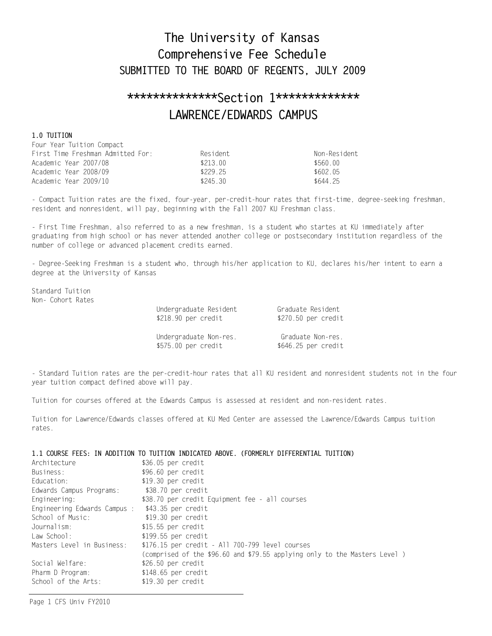# The University of Kansas Comprehensive Fee Schedule SUBMITTED TO THE BOARD OF REGENTS, JULY 2009

# \*\*\*\*\*\*\*\*\*\*\*\*\*\*\*Section 1\*\*\*\*\*\*\*\*\*\*\*\*\* LAWRENCE/EDWARDS CAMPUS

### 1.0 TUITION

| Four Year Tuition Compact         |          |              |
|-----------------------------------|----------|--------------|
| First Time Freshman Admitted For: | Resident | Non-Resident |
| Academic Year 2007/08             | \$213 00 | \$560.00     |
| Academic Year 2008/09             | \$229 25 | \$602 05     |
| Academic Year 2009/10             | \$245.30 | \$644 25     |

- Compact Tuition rates are the fixed, four-year, per-credit-hour rates that first-time, degree-seeking freshman, resident and nonresident, will pay, beginning with the Fall 2007 KU Freshman class.

- First Time Freshman, also referred to as a new freshman, is a student who startes at KU immediately after graduating from high school or has never attended another college or postsecondary institution regardless of the number of college or advanced placement credits earned.

- Degree-Seeking Freshman is a student who, through his/her application to KU, declares his/her intent to earn a degree at the University of Kansas

Standard Tuition Non- Cohort Rates

| Undergraduate Resident | Graduate Resident    |
|------------------------|----------------------|
| \$218.90 per credit    | $$270.50$ per credit |
| Undergraduate Non-res. | Graduate Non-res.    |
| \$575.00 per credit    | \$646.25 per credit  |

- Standard Tuition rates are the per-credit-hour rates that all KU resident and nonresident students not in the four year tuition compact defined above will pay.

Tuition for courses offered at the Edwards Campus is assessed at resident and non-resident rates.

Tuition for Lawrence/Edwards classes offered at KU Med Center are assessed the Lawrence/Edwards Campus tuition rates.

#### 1.1 COURSE FEES: IN ADDITION TO TUITION INDICATED ABOVE. (FORMERLY DIFFERENTIAL TUITION)

| Architecture                 | \$36.05 per credit                                                        |
|------------------------------|---------------------------------------------------------------------------|
| Business:                    | \$96.60 per credit                                                        |
| Education:                   | $$19.30$ per credit                                                       |
| Edwards Campus Programs:     | \$38.70 per credit                                                        |
| Engineering:                 | \$38.70 per credit Equipment fee - all courses                            |
| Engineering Edwards Campus : | \$43.35 per credit                                                        |
| School of Music:             | \$19.30 per credit                                                        |
| Journalism:                  | $$15.55$ per credit                                                       |
| Law School:                  | \$199.55 per credit                                                       |
| Masters Level in Business:   | \$176.15 per credit - All 700-799 level courses                           |
|                              | (comprised of the \$96.60 and \$79.55 applying only to the Masters Level) |
| Social Welfare:              | \$26.50 per credit                                                        |
| Pharm D Program:             | \$148.65 per credit                                                       |
| School of the Arts:          | \$19.30 per credit                                                        |
|                              |                                                                           |

Page 1 CFS Univ FY2010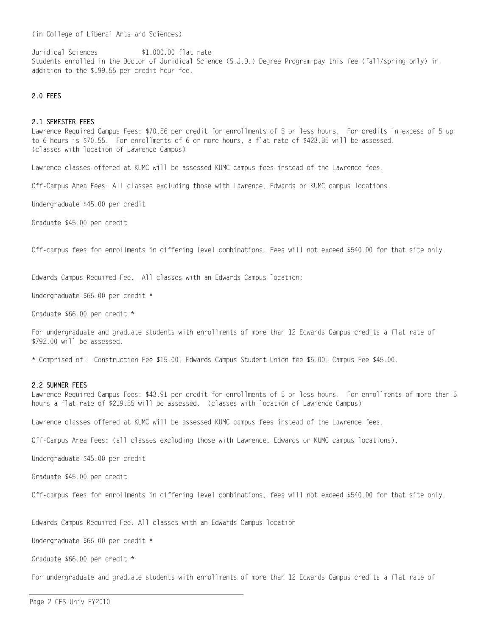(in College of Liberal Arts and Sciences)

Juridical Sciences \$1,000.00 flat rate Students enrolled in the Doctor of Juridical Science (S.J.D.) Degree Program pay this fee (fall/spring only) in addition to the \$199.55 per credit hour fee.

#### 2.0 FEES

#### 2 1 SEMESTER FFFS

Lawrence Required Campus Fees: \$70.56 per credit for enrollments of 5 or less hours. For credits in excess of 5 up to 6 hours is \$70.55. For enrollments of 6 or more hours, a flat rate of \$423.35 will be assessed. (classes with location of Lawrence Campus)

Lawrence classes offered at KUMC will be assessed KUMC campus fees instead of the Lawrence fees.

Off-Campus Area Fees: All classes excluding those with Lawrence, Edwards or KUMC campus locations.

Undergraduate \$45.00 per credit

Graduate \$45.00 per credit

Off-campus fees for enrollments in differing level combinations. Fees will not exceed \$540.00 for that site only.

Edwards Campus Required Fee. All classes with an Edwards Campus location:

Undergraduate \$66.00 per credit \*

Graduate \$66.00 per credit \*

For undergraduate and graduate students with enrollments of more than 12 Edwards Campus credits a flat rate of \$792.00 will be assessed.

\* Comprised of: Construction Fee \$15.00; Edwards Campus Student Union fee \$6.00; Campus Fee \$45.00.

#### 2.2 SUMMER FEES

Lawrence Required Campus Fees: \$43.91 per credit for enrollments of 5 or less hours. For enrollments of more than 5 hours a flat rate of \$219.55 will be assessed. (classes with location of Lawrence Campus)

Lawrence classes offered at KUMC will be assessed KUMC campus fees instead of the Lawrence fees.

Off-Campus Area Fees: (all classes excluding those with Lawrence, Edwards or KUMC campus locations).

Undergraduate \$45.00 per credit

Graduate \$45.00 per credit

Off-campus fees for enrollments in differing level combinations, fees will not exceed \$540.00 for that site only.

Edwards Campus Required Fee. All classes with an Edwards Campus location

Undergraduate \$66.00 per credit \*

Graduate \$66.00 per credit \*

For undergraduate and graduate students with enrollments of more than 12 Edwards Campus credits a flat rate of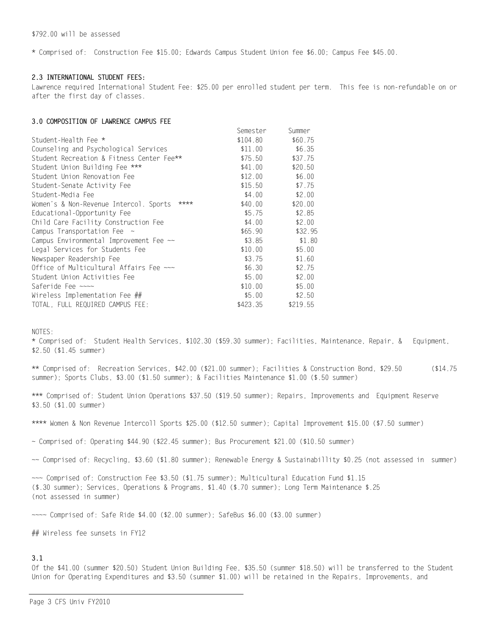\* Comprised of: Construction Fee \$15.00; Edwards Campus Student Union fee \$6.00; Campus Fee \$45.00.

### 2.3 INTERNATIONAL STUDENT FEES:

Lawrence required International Student Fee: \$25.00 per enrolled student per term. This fee is non-refundable on or after the first day of classes.

### 3.0 COMPOSITION OF LAWRENCE CAMPUS FEE

|                                                | Semester | Summer   |
|------------------------------------------------|----------|----------|
| Student-Health Fee *                           | \$104.80 | \$60.75  |
| Counseling and Psychological Services          | \$11.00  | \$6.35   |
| Student Recreation & Fitness Center Fee**      | \$75.50  | \$37.75  |
| Student Union Building Fee ***                 | \$41.00  | \$20.50  |
| Student Union Renovation Fee                   | \$12.00  | \$6.00   |
| Student-Senate Activity Fee                    | \$15.50  | \$7.75   |
| Student-Media Fee                              | \$4.00   | \$2.00   |
| ****<br>Women's & Non-Revenue Intercol. Sports | \$40.00  | \$20.00  |
| Educational-Opportunity Fee                    | \$5.75   | \$2.85   |
| Child Care Facility Construction Fee           | \$4.00   | \$2.00   |
| Campus Transportation Fee $\sim$               | \$65.90  | \$32.95  |
| Campus Environmental Improvement Fee ~~        | \$3.85   | \$1.80   |
| Legal Services for Students Fee                | \$10.00  | \$5.00   |
| Newspaper Readership Fee                       | \$3.75   | \$1.60   |
| Office of Multicultural Affairs Fee ~~~        | \$6.30   | \$2.75   |
| Student Union Activities Fee                   | \$5.00   | \$2.00   |
| Saferide Fee $\sim\sim$                        | \$10.00  | \$5.00   |
| Wireless Implementation Fee ##                 | \$5.00   | \$2.50   |
| TOTAL, FULL REQUIRED CAMPUS FEE:               | \$423.35 | \$219.55 |

NOTES:

\* Comprised of: Student Health Services, \$102.30 (\$59.30 summer); Facilities, Maintenance, Repair, & Equipment, \$2.50 (\$1.45 summer)

\*\* Comprised of: Recreation Services, \$42.00 (\$21.00 summer); Facilities & Construction Bond, \$29.50  $( $14.75$ summer); Sports Clubs, \$3.00 (\$1.50 summer); & Facilities Maintenance \$1.00 (\$.50 summer)

\*\*\* Comprised of: Student Union Operations \$37.50 (\$19.50 summer); Repairs, Improvements and Equipment Reserve \$3.50 (\$1.00 summer)

\*\*\*\* Women & Non Revenue Intercoll Sports \$25.00 (\$12.50 summer); Capital Improvement \$15.00 (\$7.50 summer)

~ Comprised of: Operating \$44.90 (\$22.45 summer); Bus Procurement \$21.00 (\$10.50 summer)

~~ Comprised of: Recycling, \$3.60 (\$1.80 summer); Renewable Energy & Sustainabillity \$0.25 (not assessed in summer)

~~~ Comprised of: Construction Fee \$3.50 (\$1.75 summer); Multicultural Education Fund \$1.15 (\$.30 summer); Services, Operations & Programs, \$1.40 (\$.70 summer); Long Term Maintenance \$.25 (not assessed in summer)

 $\sim$  Comprised of: Safe Ride \$4.00 (\$2.00 summer); SafeBus \$6.00 (\$3.00 summer)

## Wireless fee sunsets in FY12

## $3.1$

Of the \$41.00 (summer \$20.50) Student Union Building Fee, \$35.50 (summer \$18.50) will be transferred to the Student Union for Operating Expenditures and \$3.50 (summer \$1.00) will be retained in the Repairs, Improvements, and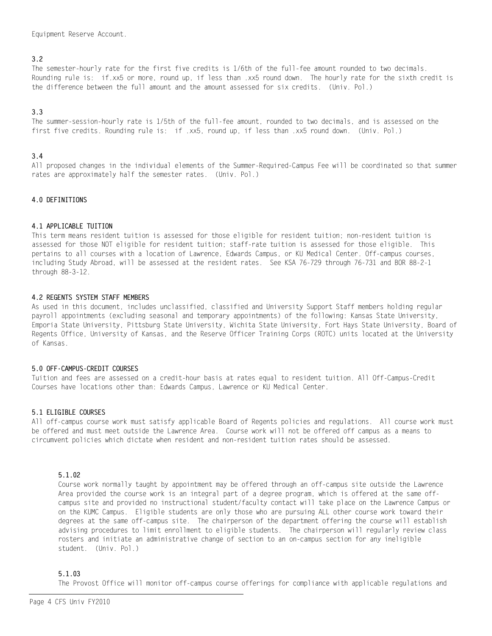Equipment Reserve Account.

### $3.2$

The semester-hourly rate for the first five credits is 1/6th of the full-fee amount rounded to two decimals. Rounding rule is: if.xx5 or more, round up, if less than, xx5 round down. The hourly rate for the sixth credit is the difference between the full amount and the amount assessed for six credits. (Univ. Pol.)

### $3.3$

The summer-session-hourly rate is 1/5th of the full-fee amount, rounded to two decimals, and is assessed on the first five credits. Rounding rule is: if .xx5, round up, if less than .xx5 round down. (Univ. Pol.)

### $3.4$

All proposed changes in the individual elements of the Summer-Required-Campus Fee will be coordinated so that summer rates are approximately half the semester rates. (Univ. Pol.)

### 4.0 DEFINITIONS

### 4.1 APPLICABLE TUITION

This term means resident tuition is assessed for those eligible for resident tuition; non-resident tuition is assessed for those NOT eligible for resident tuition; staff-rate tuition is assessed for those eligible. This pertains to all courses with a location of Lawrence. Edwards Campus, or KU Medical Center. Off-campus courses, including Study Abroad, will be assessed at the resident rates. See KSA 76-729 through 76-731 and BOR 88-2-1 through 88-3-12.

### 4.2 REGENTS SYSTEM STAFF MEMBERS

As used in this document, includes unclassified, classified and University Support Staff members holding regular payroll appointments (excluding seasonal and temporary appointments) of the following: Kansas State University, Emporia State University, Pittsburg State University, Wichita State University, Fort Hays State University, Board of Regents Office, University of Kansas, and the Reserve Officer Training Corps (ROTC) units located at the University of Kansas.

### 5.0 OFF-CAMPUS-CREDIT COURSES

Tuition and fees are assessed on a credit-hour basis at rates equal to resident tuition. All Off-Campus-Credit Courses have locations other than: Edwards Campus, Lawrence or KU Medical Center.

### 5.1 ELIGIBLE COURSES

All off-campus course work must satisfy applicable Board of Regents policies and regulations. All course work must be offered and must meet outside the Lawrence Area. Course work will not be offered off campus as a means to circumvent policies which dictate when resident and non-resident tuition rates should be assessed.

### 5.1.02

Course work normally taught by appointment may be offered through an off-campus site outside the Lawrence Area provided the course work is an integral part of a degree program, which is offered at the same offcampus site and provided no instructional student/faculty contact will take place on the Lawrence Campus or on the KUMC Campus. Eligible students are only those who are pursuing ALL other course work toward their degrees at the same off-campus site. The chairperson of the department offering the course will establish advising procedures to limit enrollment to eligible students. The chairperson will regularly review class rosters and initiate an administrative change of section to an on-campus section for any ineligible student. (Univ. Pol.)

### $5.1.03$

The Provost Office will monitor off-campus course offerings for compliance with applicable regulations and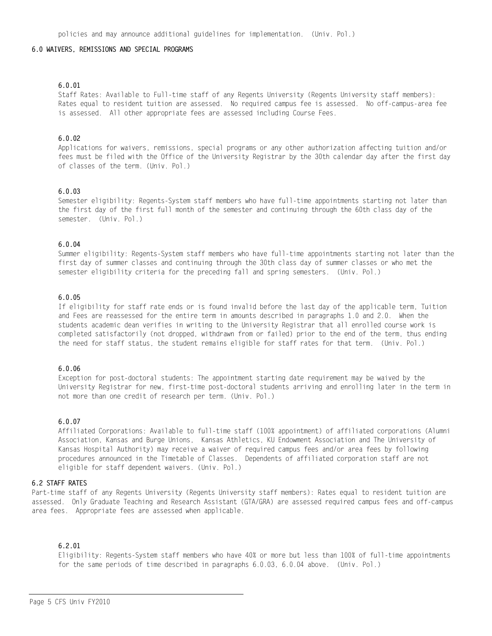#### 6.0 WAIVERS, REMISSIONS AND SPECIAL PROGRAMS

#### $6.0.01$

Staff Rates: Available to Full-time staff of any Regents University (Regents University staff members): Rates equal to resident tuition are assessed. No required campus fee is assessed. No off-campus-area fee is assessed. All other appropriate fees are assessed including Course Fees.

#### $6.0.02$

Applications for waivers, remissions, special programs or any other authorization affecting tuition and/or fees must be filed with the Office of the University Registrar by the 30th calendar day after the first day of classes of the term. (Univ. Pol.)

### $6.0.03$

Semester eligibility: Regents-System staff members who have full-time appointments starting not later than the first day of the first full month of the semester and continuing through the 60th class day of the semester. (Univ. Pol.)

#### $6.0.04$

Summer eligibility: Regents-System staff members who have full-time appointments starting not later than the first day of summer classes and continuing through the 30th class day of summer classes or who met the semester eligibility criteria for the preceding fall and spring semesters. (Univ. Pol.)

#### $6.0.05$

If eligibility for staff rate ends or is found invalid before the last day of the applicable term. Tuition and Fees are reassessed for the entire term in amounts described in paragraphs 1.0 and 2.0. When the students academic dean verifies in writing to the University Registrar that all enrolled course work is completed satisfactorily (not dropped, withdrawn from or failed) prior to the end of the term, thus ending the need for staff status, the student remains eligible for staff rates for that term. (Univ. Pol.)

#### $6.0.06$

Exception for post-doctoral students: The appointment starting date requirement may be waived by the University Registrar for new, first-time post-doctoral students arriving and enrolling later in the term in not more than one credit of research per term. (Univ. Pol.)

#### $6.0.07$

Affiliated Corporations: Available to full-time staff (100% appointment) of affiliated corporations (Alumni Association, Kansas and Burge Unions, Kansas Athletics, KU Endowment Association and The University of Kansas Hospital Authority) may receive a waiver of required campus fees and/or area fees by following procedures announced in the Timetable of Classes. Dependents of affiliated corporation staff are not eligible for staff dependent waivers. (Univ. Pol.)

#### 6.2 STAFF RATES

Part-time staff of any Regents University (Regents University staff members): Rates equal to resident tuition are assessed. Only Graduate Teaching and Research Assistant (GTA/GRA) are assessed required campus fees and off-campus area fees. Appropriate fees are assessed when applicable.

#### $6.2.01$

Eligibility: Regents-System staff members who have 40% or more but less than 100% of full-time appointments for the same periods of time described in paragraphs 6.0.03, 6.0.04 above. (Univ. Pol.)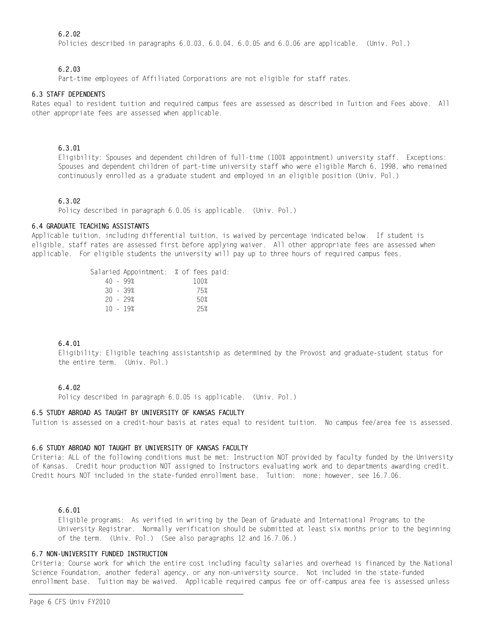### $6.2.02$

Policies described in paragraphs 6.0.03, 6.0.04, 6.0.05 and 6.0.06 are applicable. (Univ. Pol.)

### 6 2 03

Part-time employees of Affiliated Corporations are not eligible for staff rates.

#### **6.3 STAFF DEPENDENTS**

Rates equal to resident tuition and required campus fees are assessed as described in Tuition and Fees above. All other appropriate fees are assessed when applicable.

### 6.3.01

Eligibility: Spouses and dependent children of full-time (100% appointment) university staff. Exceptions: Spouses and dependent children of part-time university staff who were eligible March 6, 1998, who remained continuously enrolled as a graduate student and employed in an eligible position (Univ. Pol.)

### $6.3.02$

Policy described in paragraph 6.0.05 is applicable. (Univ. Pol.)

### 6.4 GRADUATE TEACHING ASSISTANTS

Applicable tuition, including differential tuition, is waived by percentage indicated below. If student is eligible, staff rates are assessed first before applying waiver. All other appropriate fees are assessed when applicable. For eligible students the university will pay up to three hours of required campus fees.

|                                                      | 100% |                                       |
|------------------------------------------------------|------|---------------------------------------|
|                                                      | 75%  |                                       |
|                                                      | 50%  |                                       |
|                                                      | 25%  |                                       |
| $40 - 99%$<br>$30 - 39%$<br>$20 - 29%$<br>$10 - 19%$ |      | Salaried Appointment: % of fees paid: |

### 6.4.01

Eligibility: Eligible teaching assistantship as determined by the Provost and graduate-student status for the entire term. (Univ. Pol.)

### 6.4.02

Policy described in paragraph 6.0.05 is applicable. (Univ. Pol.)

### 6.5 STUDY ABROAD AS TAUGHT BY UNIVERSITY OF KANSAS FACULTY

Tuition is assessed on a credit-hour basis at rates equal to resident tuition. No campus fee/area fee is assessed.

### 6.6 STUDY ABROAD NOT TAUGHT BY UNIVERSITY OF KANSAS FACULTY

Criteria: ALL of the following conditions must be met: Instruction NOT provided by faculty funded by the University of Kansas. Credit hour production NOT assigned to Instructors evaluating work and to departments awarding credit. Credit hours NOT included in the state-funded enrollment base. Tuition: none; however, see 16.7.06.

### 6.6.01

Eligible programs: As verified in writing by the Dean of Graduate and International Programs to the University Registrar. Normally verification should be submitted at least six months prior to the beginning of the term. (Univ. Pol.) (See also paragraphs 12 and 16.7.06.)

### 6.7 NON-UNIVERSITY FUNDED INSTRUCTION

Criteria: Course work for which the entire cost including faculty salaries and overhead is financed by the National Science Foundation, another federal agency, or any non-university source. Not included in the state-funded enrollment base. Tuition may be waived. Applicable required campus fee or off-campus area fee is assessed unless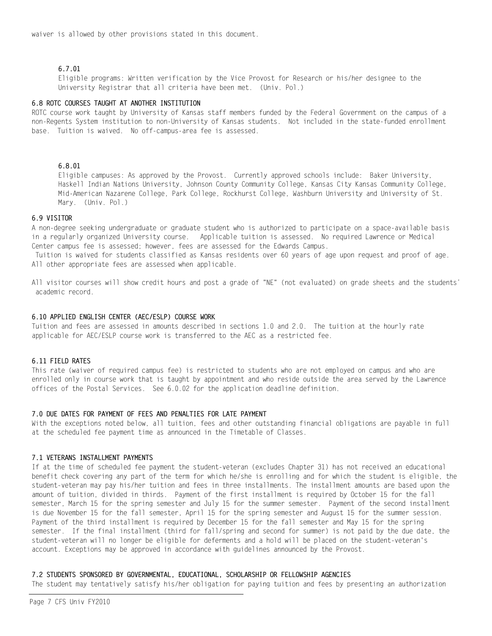waiver is allowed by other provisions stated in this document.

### 6.7.01

Eligible programs: Written verification by the Vice Provost for Research or his/her designee to the University Registrar that all criteria have been met. (Univ. Pol.)

### 6.8 ROTC COURSES TAUGHT AT ANOTHER INSTITUTION

ROTC course work taught by University of Kansas staff members funded by the Federal Government on the campus of a non-Regents System institution to non-University of Kansas students. Not included in the state-funded enrollment base. Tuition is waived. No off-campus-area fee is assessed.

### 6.8.01

Eligible campuses: As approved by the Provost. Currently approved schools include: Baker University, Haskell Indian Nations University, Johnson County Community College, Kansas City Kansas Community College, Mid-American Nazarene College, Park College, Rockhurst College, Washburn University and University of St. Mary. (Univ. Pol.)

#### 6.9 VISITOR

A non-degree seeking undergraduate or graduate student who is authorized to participate on a space-available basis in a regularly organized University course. Applicable tuition is assessed. No required Lawrence or Medical Center campus fee is assessed; however, fees are assessed for the Edwards Campus.

Tuition is waived for students classified as Kansas residents over 60 years of age upon request and proof of age. All other appropriate fees are assessed when applicable.

All visitor courses will show credit hours and post a grade of "NE" (not evaluated) on grade sheets and the students' academic record.

#### 6.10 APPLIED ENGLISH CENTER (AEC/ESLP) COURSE WORK

Tuition and fees are assessed in amounts described in sections 1.0 and 2.0. The tuition at the hourly rate applicable for AEC/ESLP course work is transferred to the AEC as a restricted fee.

### 6.11 FIELD RATES

This rate (waiver of required campus fee) is restricted to students who are not employed on campus and who are enrolled only in course work that is taught by appointment and who reside outside the area served by the Lawrence offices of the Postal Services. See 6.0.02 for the application deadline definition.

#### 7.0 DUE DATES FOR PAYMENT OF FEES AND PENALTIES FOR LATE PAYMENT

With the exceptions noted below, all tuition, fees and other outstanding financial obligations are payable in full at the scheduled fee payment time as announced in the Timetable of Classes.

#### 7.1 VETERANS INSTALLMENT PAYMENTS

If at the time of scheduled fee payment the student-veteran (excludes Chapter 31) has not received an educational benefit check covering any part of the term for which he/she is enrolling and for which the student is eligible, the student-veteran may pay his/her tuition and fees in three installments. The installment amounts are based upon the amount of tuition, divided in thirds. Payment of the first installment is required by October 15 for the fall semester, March 15 for the spring semester and July 15 for the summer semester. Payment of the second installment is due November 15 for the fall semester, April 15 for the spring semester and August 15 for the summer session. Payment of the third installment is required by December 15 for the fall semester and May 15 for the spring semester. If the final installment (third for fall/spring and second for summer) is not paid by the due date, the student-veteran will no longer be eligible for deferments and a hold will be placed on the student-veteran's account. Exceptions may be approved in accordance with quidelines announced by the Provost.

### 7.2 STUDENTS SPONSORED BY GOVERNMENTAL, EDUCATIONAL, SCHOLARSHIP OR FELLOWSHIP AGENCIES

The student may tentatively satisfy his/her obligation for paying tuition and fees by presenting an authorization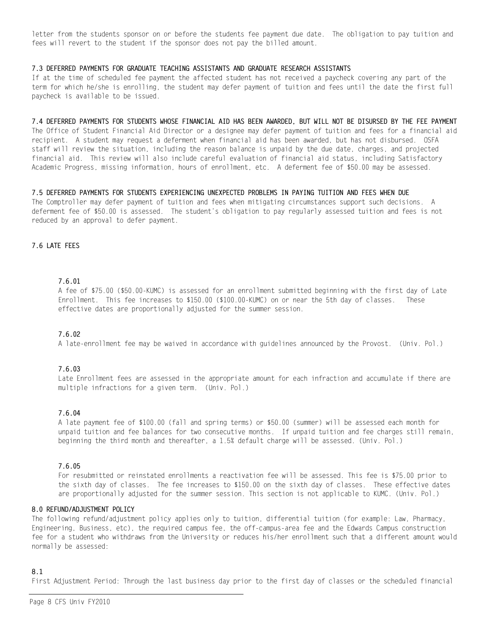letter from the students sponsor on or before the students fee payment due date. The obligation to pay tuition and fees will revert to the student if the sponsor does not pay the billed amount.

#### 7.3 DEFERRED PAYMENTS FOR GRADUATE TEACHING ASSISTANTS AND GRADUATE RESEARCH ASSISTANTS

If at the time of scheduled fee payment the affected student has not received a paycheck covering any part of the term for which he/she is enrolling, the student may defer payment of tuition and fees until the date the first full paycheck is available to be issued.

7.4 DEFERRED PAYMENTS FOR STUDENTS WHOSE FINANCIAL AID HAS BEEN AWARDED, BUT WILL NOT BE DISURSED BY THE FEE PAYMENT The Office of Student Financial Aid Director or a designee may defer payment of tuition and fees for a financial aid recipient. A student may request a deferment when financial aid has been awarded, but has not disbursed. OSFA staff will review the situation, including the reason balance is unpaid by the due date, charges, and projected financial aid. This review will also include careful evaluation of financial aid status, including Satisfactory Academic Progress, missing information, hours of enrollment, etc. A deferment fee of \$50.00 may be assessed.

#### 7.5 DEFERRED PAYMENTS FOR STUDENTS EXPERIENCING UNEXPECTED PROBLEMS IN PAYING TUITION AND FEES WHEN DUE

The Comptroller may defer payment of tuition and fees when mitigating circumstances support such decisions. A deferment fee of \$50.00 is assessed. The student's obligation to pay regularly assessed tuition and fees is not reduced by an approval to defer payment.

### 7.6 LATE FEES

#### 7.6.01

A fee of \$75.00 (\$50.00-KUMC) is assessed for an enrollment submitted beginning with the first day of Late Enrollment. This fee increases to \$150.00 (\$100.00-KUMC) on or near the 5th day of classes. These effective dates are proportionally adjusted for the summer session.

### $7.6.02$

A late-enrollment fee may be waived in accordance with guidelines announced by the Provost. (Univ. Pol.)

### $7.6.03$

Late Enrollment fees are assessed in the appropriate amount for each infraction and accumulate if there are multiple infractions for a given term. (Univ. Pol.)

### 7.6.04

A late payment fee of \$100.00 (fall and spring terms) or \$50.00 (summer) will be assessed each month for unpaid tuition and fee balances for two consecutive months. If unpaid tuition and fee charges still remain, beginning the third month and thereafter, a 1.5% default charge will be assessed. (Univ. Pol.)

#### 7.6.05

For resubmitted or reinstated enrollments a reactivation fee will be assessed. This fee is \$75.00 prior to the sixth day of classes. The fee increases to \$150.00 on the sixth day of classes. These effective dates are proportionally adjusted for the summer session. This section is not applicable to KUMC. (Univ. Pol.)

#### 8.0 REFUND/ADJUSTMENT POLICY

The following refund/adjustment policy applies only to tuition, differential tuition (for example: Law, Pharmacy, Engineering, Business, etc), the required campus fee, the off-campus-area fee and the Edwards Campus construction fee for a student who withdraws from the University or reduces his/her enrollment such that a different amount would normally be assessed:

### $8<sub>1</sub>$

First Adjustment Period: Through the last business day prior to the first day of classes or the scheduled financial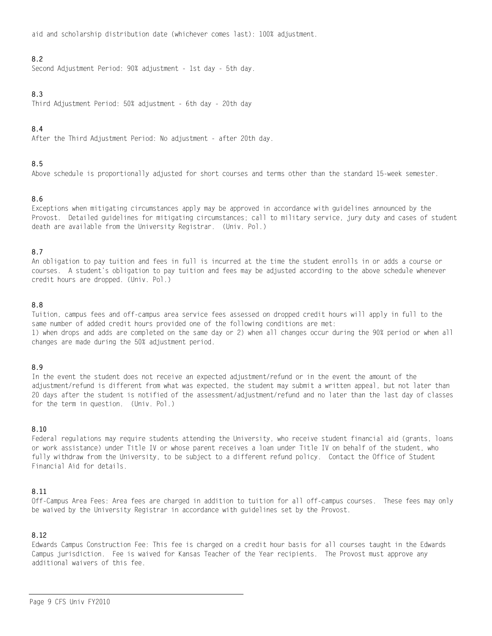aid and scholarship distribution date (whichever comes last): 100% adjustment.

### $8.2$

Second Adjustment Period: 90% adjustment - 1st day - 5th day.

### 8.3

Third Adjustment Period: 50% adjustment - 6th day - 20th day

### $8.4$

After the Third Adjustment Period: No adjustment - after 20th day.

### 8.5

Above schedule is proportionally adjusted for short courses and terms other than the standard 15-week semester.

### 8.6

Exceptions when mitigating circumstances apply may be approved in accordance with guidelines announced by the Provost. Detailed quidelines for mitigating circumstances; call to military service, jury duty and cases of student death are available from the University Registrar. (Univ. Pol.)

### 8.7

An obligation to pay tuition and fees in full is incurred at the time the student enrolls in or adds a course or courses. A student's obligation to pay tuition and fees may be adjusted according to the above schedule whenever credit hours are dropped. (Univ. Pol.)

### 8.8

Tuition, campus fees and off-campus area service fees assessed on dropped credit hours will apply in full to the same number of added credit hours provided one of the following conditions are met: 1) when drops and adds are completed on the same day or 2) when all changes occur during the 90% period or when all changes are made during the 50% adjustment period.

### 8.9

In the event the student does not receive an expected adjustment/refund or in the event the amount of the adjustment/refund is different from what was expected, the student may submit a written appeal, but not later than 20 days after the student is notified of the assessment/adjustment/refund and no later than the last day of classes for the term in question. (Univ. Pol.)

### 8.10

Federal regulations may require students attending the University, who receive student financial aid (grants, loans or work assistance) under Title IV or whose parent receives a loan under Title IV on behalf of the student, who fully withdraw from the University, to be subject to a different refund policy. Contact the Office of Student Financial Aid for details.

### 8.11

Off-Campus Area Fees: Area fees are charged in addition to tuition for all off-campus courses. These fees may only be waived by the University Registrar in accordance with guidelines set by the Provost.

### 8.12

Edwards Campus Construction Fee: This fee is charged on a credit hour basis for all courses taught in the Edwards Campus jurisdiction. Fee is waived for Kansas Teacher of the Year recipients. The Provost must approve any additional waivers of this fee.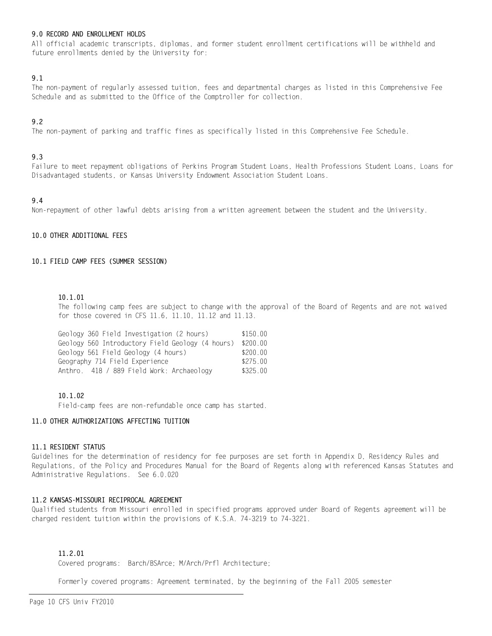### 9.0 RECORD AND ENROLLMENT HOLDS

All official academic transcripts, diplomas, and former student enrollment certifications will be withheld and future enrollments denied by the University for:

### $9.1$

The non-payment of regularly assessed tuition, fees and departmental charges as listed in this Comprehensive Fee Schedule and as submitted to the Office of the Comptroller for collection.

### $9.2$

The non-payment of parking and traffic fines as specifically listed in this Comprehensive Fee Schedule.

### 9.3

Failure to meet repayment obligations of Perkins Program Student Loans, Health Professions Student Loans, Loans for Disadvantaged students, or Kansas University Endowment Association Student Loans.

### 9.4

Non-repayment of other lawful debts arising from a written agreement between the student and the University.

#### 10.0 OTHER ADDITIONAL FEES

### 10.1 FIELD CAMP FEES (SUMMER SESSION)

#### $10.1.01$

The following camp fees are subject to change with the approval of the Board of Regents and are not waived for those covered in CFS 11.6, 11.10, 11.12 and 11.13.

| Geology 360 Field Investigation (2 hours)                 | \$150.00 |
|-----------------------------------------------------------|----------|
| Geology 560 Introductory Field Geology (4 hours) \$200.00 |          |
| Geology 561 Field Geology (4 hours)                       | \$200.00 |
| Geography 714 Field Experience                            | \$275.00 |
| Anthro. 418 / 889 Field Work: Archaeology                 | \$325.00 |
|                                                           |          |

#### 10.1.02

Field-camp fees are non-refundable once camp has started.

#### 11.0 OTHER AUTHORIZATIONS AFFECTING TUITION

#### 11.1 RESIDENT STATUS

Guidelines for the determination of residency for fee purposes are set forth in Appendix D, Residency Rules and Regulations, of the Policy and Procedures Manual for the Board of Regents along with referenced Kansas Statutes and Administrative Regulations. See 6.0.020

#### 11.2 KANSAS-MISSOURI RECIPROCAL AGREEMENT

Qualified students from Missouri enrolled in specified programs approved under Board of Regents agreement will be charged resident tuition within the provisions of K.S.A. 74-3219 to 74-3221.

### 11.2.01

Covered programs: Barch/BSArce; M/Arch/Prfl Architecture;

Formerly covered programs: Agreement terminated, by the beginning of the Fall 2005 semester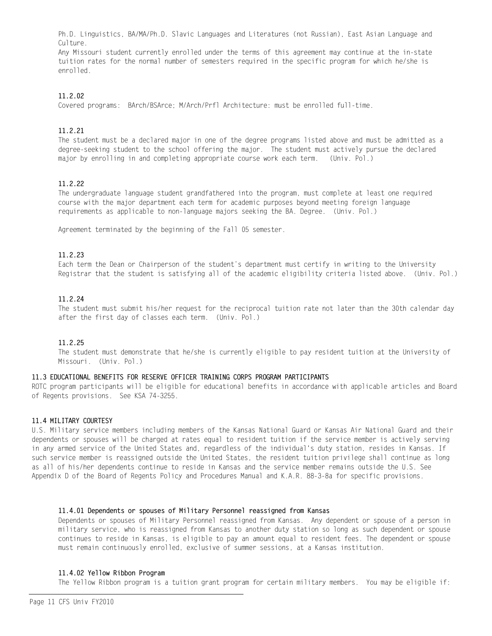Ph.D. Linguistics, BA/MA/Ph.D. Slavic Languages and Literatures (not Russian), East Asian Language and Culture.

Any Missouri student currently enrolled under the terms of this agreement may continue at the in-state tuition rates for the normal number of semesters required in the specific program for which he/she is enrolled.

### $11.2.02$

Covered programs: BArch/BSArce; M/Arch/Prfl Architecture: must be enrolled full-time.

### $11, 2, 21$

The student must be a declared major in one of the degree programs listed above and must be admitted as a degree-seeking student to the school offering the major. The student must actively pursue the declared major by enrolling in and completing appropriate course work each term. (Univ. Pol.)

### $11222$

The undergraduate language student grandfathered into the program, must complete at least one required course with the major department each term for academic purposes beyond meeting foreign language requirements as applicable to non-language majors seeking the BA. Degree. (Univ. Pol.)

Agreement terminated by the beginning of the Fall 05 semester.

### 11.2.23

Each term the Dean or Chairperson of the student's department must certify in writing to the University Registrar that the student is satisfying all of the academic eligibility criteria listed above. (Univ. Pol.)

### 11.2.24

The student must submit his/her request for the reciprocal tuition rate not later than the 30th calendar day after the first day of classes each term. (Univ. Pol.)

### $11, 2, 25$

The student must demonstrate that he/she is currently eligible to pay resident tuition at the University of Missouri. (Univ. Pol.)

#### 11.3 EDUCATIONAL BENEFITS FOR RESERVE OFFICER TRAINING CORPS PROGRAM PARTICIPANTS

ROTC program participants will be eligible for educational benefits in accordance with applicable articles and Board of Regents provisions. See KSA 74-3255.

### 11.4 MILITARY COURTESY

U.S. Military service members including members of the Kansas National Guard or Kansas Air National Guard and their dependents or spouses will be charged at rates equal to resident tuition if the service member is actively serving in any armed service of the United States and, regardless of the individual's duty station, resides in Kansas. If such service member is reassigned outside the United States, the resident tuition privilege shall continue as long as all of his/her dependents continue to reside in Kansas and the service member remains outside the U.S. See Appendix D of the Board of Regents Policy and Procedures Manual and K.A.R. 88-3-8a for specific provisions.

### 11.4.01 Dependents or spouses of Military Personnel reassigned from Kansas

Dependents or spouses of Military Personnel reassigned from Kansas. Any dependent or spouse of a person in military service, who is reassigned from Kansas to another duty station so long as such dependent or spouse continues to reside in Kansas, is eligible to pay an amount equal to resident fees. The dependent or spouse must remain continuously enrolled, exclusive of summer sessions, at a Kansas institution.

#### 11.4.02 Yellow Ribbon Program

The Yellow Ribbon program is a tuition grant program for certain military members. You may be eligible if: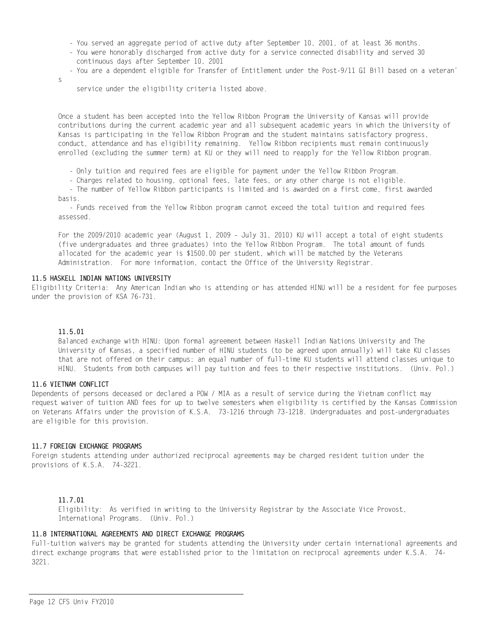- You served an aggregate period of active duty after September 10, 2001, of at least 36 months.
- You were honorably discharged from active duty for a service connected disability and served 30 continuous days after September 10, 2001
- You are a dependent eligible for Transfer of Entitlement under the Post-9/11 GI Bill based on a veteran'

service under the eligibility criteria listed above.

Once a student has been accepted into the Yellow Ribbon Program the University of Kansas will provide contributions during the current academic year and all subsequent academic years in which the University of Kansas is participating in the Yellow Ribbon Program and the student maintains satisfactory progress, conduct, attendance and has eligibility remaining. Yellow Ribbon recipients must remain continuously enrolled (excluding the summer term) at KU or they will need to reapply for the Yellow Ribbon program.

- Only tuition and required fees are eligible for payment under the Yellow Ribbon Program.

- Charges related to housing, optional fees, late fees, or any other charge is not eligible.

- The number of Yellow Ribbon participants is limited and is awarded on a first come, first awarded hasis

- Funds received from the Yellow Ribbon program cannot exceed the total tuition and required fees assessed.

For the 2009/2010 academic year (August 1, 2009 - July 31, 2010) KU will accept a total of eight students (five undergraduates and three graduates) into the Yellow Ribbon Program. The total amount of funds allocated for the academic year is \$1500.00 per student, which will be matched by the Veterans Administration. For more information, contact the Office of the University Registrar.

### 11.5 HASKELL INDIAN NATIONS UNIVERSITY

Eligibility Criteria: Any American Indian who is attending or has attended HINU will be a resident for fee purposes under the provision of KSA 76-731.

### 11.5.01

 $\mathbf{c}$ 

Balanced exchange with HINU: Upon formal agreement between Haskell Indian Nations University and The University of Kansas, a specified number of HINU students (to be agreed upon annually) will take KU classes that are not offered on their campus; an equal number of full-time KU students will attend classes unique to HINU. Students from both campuses will pay tuition and fees to their respective institutions. (Univ. Pol.)

### 11.6 VIETNAM CONFLICT

Dependents of persons deceased or declared a POW / MIA as a result of service during the Vietnam conflict may request waiver of tuition AND fees for up to twelve semesters when eligibility is certified by the Kansas Commission on Veterans Affairs under the provision of K.S.A. 73-1216 through 73-1218. Undergraduates and post-undergraduates are eligible for this provision.

#### 11.7 FOREIGN EXCHANGE PROGRAMS

Foreign students attending under authorized reciprocal agreements may be charged resident tuition under the provisions of K.S.A. 74-3221.

### 11.7.01

Eligibility: As verified in writing to the University Registrar by the Associate Vice Provost, International Programs. (Univ. Pol.)

#### 11.8 INTERNATIONAL AGREEMENTS AND DIRECT EXCHANGE PROGRAMS

Full-tuition waivers may be granted for students attending the University under certain international agreements and direct exchange programs that were established prior to the limitation on reciprocal agreements under K.S.A. 74-3221.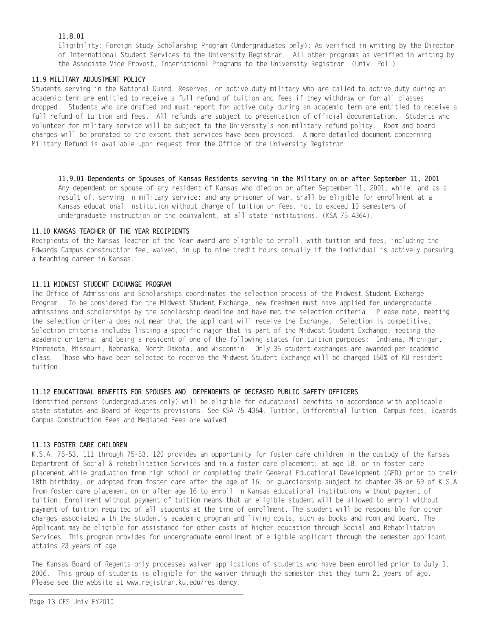### 11.8.01

Eligibility: Foreign Study Scholarship Program (Undergraduates only): As verified in writing by the Director of International Student Services to the University Registrar. All other programs as verified in writing by the Associate Vice Provost, International Programs to the University Registrar. (Univ. Pol.)

### 11.9 MILITARY ADJUSTMENT POLICY

Students serving in the National Guard, Reserves, or active duty military who are called to active duty during an academic term are entitled to receive a full refund of tuition and fees if they withdraw or for all classes dropped. Students who are drafted and must report for active duty during an academic term are entitled to receive a full refund of tuition and fees. All refunds are subject to presentation of official documentation. Students who volunteer for military service will be subject to the University's non-military refund policy. Room and board charges will be prorated to the extent that services have been provided. A more detailed document concerning Military Refund is available upon request from the Office of the University Registrar.

11.9.01 Dependents or Spouses of Kansas Residents serving in the Military on or after September 11, 2001 Any dependent or spouse of any resident of Kansas who died on or after September 11, 2001, while, and as a result of, serving in military service; and any prisoner of war, shall be eligible for enrollment at a Kansas educational institution without charge of tuition or fees, not to exceed 10 semesters of undergraduate instruction or the equivalent, at all state institutions. (KSA 75-4364).

#### 11.10 KANSAS TEACHER OF THE YEAR RECIPIENTS

Recipients of the Kansas Teacher of the Year award are eligible to enroll, with tuition and fees, including the Edwards Campus construction fee, waived, in up to nine credit hours annually if the individual is actively pursuing a teaching career in Kansas.

#### 11.11 MIDWEST STUDENT EXCHANGE PROGRAM

The Office of Admissions and Scholarships coordinates the selection process of the Midwest Student Exchange Program. To be considered for the Midwest Student Exchange, new freshmen must have applied for undergraduate admissions and scholarships by the scholarship deadline and have met the selection criteria. Please note, meeting the selection criteria does not mean that the applicant will receive the Exchange. Selection is competitive. Selection criteria includes listing a specific major that is part of the Midwest Student Exchange; meeting the academic criteria; and being a resident of one of the following states for tuition purposes: Indiana, Michigan, Minnesota, Missouri, Nebraska, North Dakota, and Wisconsin. Only 35 student exchanges are awarded per academic class. Those who have been selected to receive the Midwest Student Exchange will be charged 150% of KU resident tuition.

### 11.12 EDUCATIONAL BENEFITS FOR SPOUSES AND DEPENDENTS OF DECEASED PUBLIC SAFETY OFFICERS

Identified persons (undergraduates only) will be eligible for educational benefits in accordance with applicable state statutes and Board of Regents provisions. See KSA 75-4364. Tuition, Differential Tuition, Campus fees, Edwards Campus Construction Fees and Mediated Fees are waived.

#### 11.13 FOSTER CARE CHILDREN

K.S.A. 75-53, 111 through 75-53, 120 provides an opportunity for foster care children in the custody of the Kansas Department of Social & rehabilitation Services and in a foster care placement; at age 18; or in foster care placement while graduation from high school or completing their General Educational Development (GED) prior to their 18th birthday, or adopted from foster care after the age of 16; or guardianship subject to chapter 38 or 59 of K.S.A from foster care placement on or after age 16 to enroll in Kansas educational institutions without payment of tuition. Enrollment without payment of tuition means that an eligible student will be allowed to enroll without payment of tuition requited of all students at the time of enrollment. The student will be responsible for other charges associated with the student's academic program and living costs, such as books and room and board. The Applicant may be eligible for assistance for other costs of higher education through Social and Rehabilitation Services. This program provides for undergraduate enrollment of eligible applicant through the semester applicant attains 23 years of age.

The Kansas Board of Regents only processes waiver applications of students who have been enrolled prior to July 1, 2006. This group of students is eligible for the waiver through the semester that they turn 21 years of age. Please see the website at www.registrar.ku.edu/residency.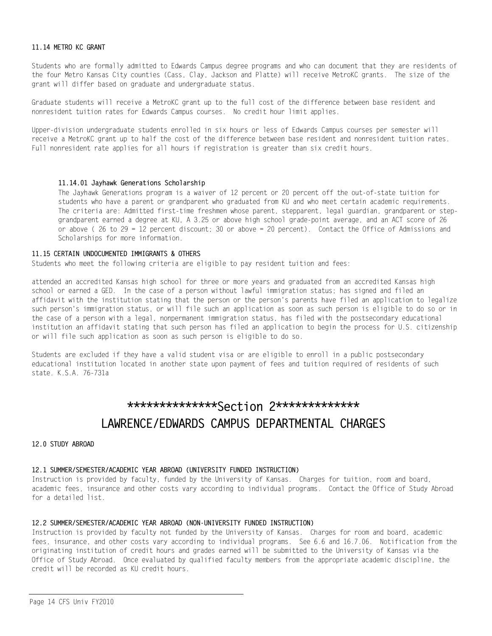#### 11.14 METRO KC GRANT

Students who are formally admitted to Edwards Campus degree programs and who can document that they are residents of the four Metro Kansas City counties (Cass, Clay, Jackson and Platte) will receive MetroKC grants. The size of the grant will differ based on graduate and undergraduate status.

Graduate students will receive a MetroKC grant up to the full cost of the difference between base resident and nonresident tuition rates for Edwards Campus courses. No credit hour limit applies.

Upper-division undergraduate students enrolled in six hours or less of Edwards Campus courses per semester will receive a MetroKC grant up to half the cost of the difference between base resident and nonresident tuition rates. Full nonresident rate applies for all hours if registration is greater than six credit hours.

#### 11.14.01 Jayhawk Generations Scholarship

The Jayhawk Generations program is a waiver of 12 percent or 20 percent off the out-of-state tuition for students who have a parent or grandparent who graduated from KU and who meet certain academic requirements. The criteria are: Admitted first-time freshmen whose parent, stepparent, legal guardian, grandparent or stepgrandparent earned a degree at KU, A 3.25 or above high school grade-point average, and an ACT score of 26 or above ( $26$  to  $29 = 12$  percent discount; 30 or above = 20 percent). Contact the Office of Admissions and Scholarships for more information.

#### 11.15 CERTAIN UNDOCUMENTED IMMIGRANTS & OTHERS

Students who meet the following criteria are eligible to pay resident tuition and fees:

attended an accredited Kansas high school for three or more years and graduated from an accredited Kansas high school or earned a GED. In the case of a person without lawful immigration status; has signed and filed an affidavit with the institution stating that the person or the person's parents have filed an application to legalize such person's immigration status, or will file such an application as soon as such person is eligible to do so or in the case of a person with a legal, nonpermanent immigration status, has filed with the postsecondary educational institution an affidavit stating that such person has filed an application to begin the process for U.S. citizenship or will file such application as soon as such person is eligible to do so.

Students are excluded if they have a valid student visa or are eligible to enroll in a public postsecondary educational institution located in another state upon payment of fees and tuition required of residents of such state. K.S.A. 76-731a

## \*\*\*\*\*\*\*\*\*\*\*\*\*\*\*Section 2\*\*\*\*\*\*\*\*\*\*\*\*\* LAWRENCE/EDWARDS CAMPUS DEPARTMENTAL CHARGES

#### 12 0 STUDY ARROAD

## 12.1 SUMMER/SEMESTER/ACADEMIC YEAR ABROAD (UNIVERSITY FUNDED INSTRUCTION)

Instruction is provided by faculty, funded by the University of Kansas. Charges for tuition, room and board, academic fees, insurance and other costs vary according to individual programs. Contact the Office of Study Abroad for a detailed list.

## 12.2 SUMMER/SEMESTER/ACADEMIC YEAR ABROAD (NON-UNIVERSITY FUNDED INSTRUCTION)

Instruction is provided by faculty not funded by the University of Kansas. Charges for room and board, academic fees, insurance, and other costs vary according to individual programs. See 6.6 and 16.7.06. Notification from the originating institution of credit hours and grades earned will be submitted to the University of Kansas via the Office of Study Abroad. Once evaluated by qualified faculty members from the appropriate academic discipline, the credit will be recorded as KU credit hours.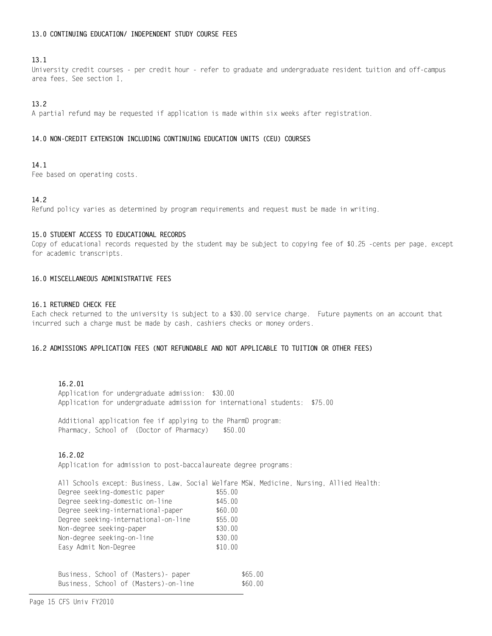### 13.0 CONTINUING EDUCATION/ INDEPENDENT STUDY COURSE FEES

### $13.1$

University credit courses - per credit hour - refer to graduate and undergraduate resident tuition and off-campus area fees. See section I.

### $13.2$

A partial refund may be requested if application is made within six weeks after registration.

### 14.0 NON-CREDIT EXTENSION INCLUDING CONTINUING EDUCATION UNITS (CEU) COURSES

### 14.1

Fee based on operating costs.

### 14.2

Refund policy varies as determined by program requirements and request must be made in writing.

### 15.0 STUDENT ACCESS TO EDUCATIONAL RECORDS

Copy of educational records requested by the student may be subject to copying fee of \$0.25 -cents per page, except for academic transcripts.

### 16.0 MISCELLANEOUS ADMINISTRATIVE FEES

#### 16.1 RETURNED CHECK FEE

Each check returned to the university is subject to a \$30.00 service charge. Future payments on an account that incurred such a charge must be made by cash, cashiers checks or money orders.

#### 16.2 ADMISSIONS APPLICATION FEES (NOT REFUNDABLE AND NOT APPLICABLE TO TUITION OR OTHER FEES)

### 16.2.01

Application for undergraduate admission: \$30.00 Application for undergraduate admission for international students: \$75.00

Additional application fee if applying to the PharmD program: Pharmacy, School of (Doctor of Pharmacy) \$50.00

### 16.2.02

Application for admission to post-baccalaureate degree programs:

| All Schools except: Business, Law, Social Welfare MSW, Medicine, Nursing, Allied Health: |         |         |  |  |
|------------------------------------------------------------------------------------------|---------|---------|--|--|
| Degree seeking-domestic paper                                                            | \$55.00 |         |  |  |
| Degree seeking-domestic on-line                                                          | \$45.00 |         |  |  |
| Degree seeking-international-paper                                                       | \$60.00 |         |  |  |
| Degree seeking-international-on-line                                                     | \$55.00 |         |  |  |
| Non-degree seeking-paper                                                                 | \$30.00 |         |  |  |
| Non-degree seeking-on-line                                                               | \$30.00 |         |  |  |
| Easy Admit Non-Degree                                                                    | \$10.00 |         |  |  |
|                                                                                          |         |         |  |  |
|                                                                                          |         |         |  |  |
| Business, School of (Masters) - paper                                                    |         | \$65.00 |  |  |

\$60.00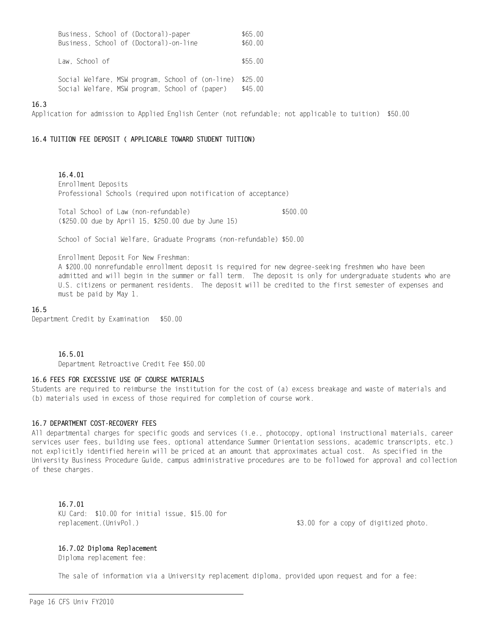| Business, School of (Doctoral)-paper             | \$65.00 |
|--------------------------------------------------|---------|
| Business, School of (Doctoral)-on-line           | \$60.00 |
|                                                  |         |
| Law. School of                                   | \$55.00 |
|                                                  |         |
| Social Welfare, MSW program, School of (on-line) | \$25.00 |
|                                                  |         |
| Social Welfare, MSW program, School of (paper)   | \$45.00 |

#### $16.3$

Application for admission to Applied English Center (not refundable; not applicable to tuition) \$50.00

#### 16.4 TUITION FEE DEPOSIT ( APPLICABLE TOWARD STUDENT TUITION)

16.4.01 Enrollment Deposits Professional Schools (required upon notification of acceptance)

Total School of Law (non-refundable) \$500.00 (\$250.00 due by April 15, \$250.00 due by June 15)

School of Social Welfare, Graduate Programs (non-refundable) \$50.00

Enrollment Deposit For New Freshman:

A \$200.00 nonrefundable enrollment deposit is required for new degree-seeking freshmen who have been admitted and will begin in the summer or fall term. The deposit is only for undergraduate students who are U.S. citizens or permanent residents. The deposit will be credited to the first semester of expenses and must be paid by May 1.

#### 16.5

Department Credit by Examination \$50.00

#### 16.5.01

Department Retroactive Credit Fee \$50.00

### 16.6 FEES FOR EXCESSIVE USE OF COURSE MATERIALS

Students are required to reimburse the institution for the cost of (a) excess breakage and waste of materials and (b) materials used in excess of those required for completion of course work.

#### 16.7 DEPARTMENT COST-RECOVERY FEES

All departmental charges for specific goods and services (i.e., photocopy, optional instructional materials, career services user fees, building use fees, optional attendance Summer Orientation sessions, academic transcripts, etc.) not explicitly identified herein will be priced at an amount that approximates actual cost. As specified in the University Business Procedure Guide, campus administrative procedures are to be followed for approval and collection of these charges.

#### 16.7.01

KU Card: \$10.00 for initial issue. \$15.00 for replacement. (UnivPol.)

\$3.00 for a copy of digitized photo.

#### 16.7.02 Diploma Replacement

Diploma replacement fee:

The sale of information via a University replacement diploma, provided upon request and for a fee: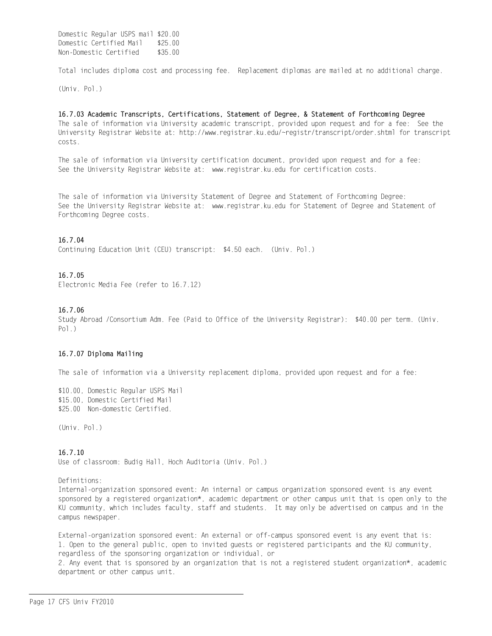Domestic Regular USPS mail \$20.00 Domestic Certified Mail \$25.00 Non-Domestic Certified \$35.00

Total includes diploma cost and processing fee. Replacement diplomas are mailed at no additional charge.

 $(Univ. Pol.)$ 

16.7.03 Academic Transcripts, Certifications, Statement of Degree, & Statement of Forthcoming Degree The sale of information via University academic transcript, provided upon request and for a fee: See the University Registrar Website at: http://www.registrar.ku.edu/~registr/transcript/order.shtml for transcript costs.

The sale of information via University certification document, provided upon request and for a fee: See the University Registrar Website at: www.registrar.ku.edu for certification costs.

The sale of information via University Statement of Degree and Statement of Forthcoming Degree: See the University Registrar Website at: www.registrar.ku.edu for Statement of Degree and Statement of Forthcoming Degree costs.

#### 16.7.04

Continuing Education Unit (CEU) transcript: \$4.50 each. (Univ. Pol.)

#### 16.7.05

Flectronic Media Fee (refer to 16 7 12)

### 16.7.06

Study Abroad /Consortium Adm. Fee (Paid to Office of the University Registrar): \$40.00 per term. (Univ.  $Po1.$ 

#### 16.7.07 Diploma Mailing

The sale of information via a University replacement diploma, provided upon request and for a fee:

\$10.00, Domestic Regular USPS Mail \$15.00, Domestic Certified Mail \$25.00 Non-domestic Certified.

(Univ. Pol.)

### $16.7.10$

Use of classroom: Budig Hall, Hoch Auditoria (Univ. Pol.)

Definitions:

Internal-organization sponsored event: An internal or campus organization sponsored event is any event sponsored by a registered organization\*, academic department or other campus unit that is open only to the KU community, which includes faculty, staff and students. It may only be advertised on campus and in the campus newspaper.

External-organization sponsored event: An external or off-campus sponsored event is any event that is: 1. Open to the general public, open to invited guests or registered participants and the KU community, regardless of the sponsoring organization or individual, or

2. Any event that is sponsored by an organization that is not a registered student organization\*, academic department or other campus unit.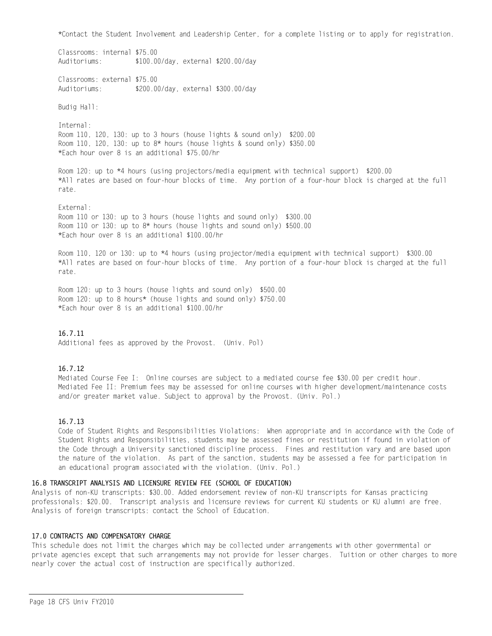\*Contact the Student Involvement and Leadership Center, for a complete listing or to apply for registration.

Classrooms: internal \$75.00 Auditoriums: \$100.00/day, external \$200.00/day

Classrooms: external \$75.00 Auditoriums: \$200.00/day, external \$300.00/day

Budig Hall:

Internal: Room 110, 120, 130: up to 3 hours (house lights & sound only) \$200.00 Room 110, 120, 130: up to 8\* hours (house lights & sound only) \$350.00 \*Each hour over 8 is an additional \$75.00/hr

Room 120: up to \*4 hours (using projectors/media equipment with technical support) \$200.00 \*All rates are based on four-hour blocks of time. Any portion of a four-hour block is charged at the full rate.

External: Room 110 or 130: up to 3 hours (house lights and sound only) \$300.00 Room 110 or 130: up to 8\* hours (house lights and sound only) \$500.00 \*Each hour over 8 is an additional \$100.00/hr

Room 110, 120 or 130: up to \*4 hours (using projector/media equipment with technical support) \$300.00 \*All rates are based on four-hour blocks of time. Any portion of a four-hour block is charged at the full rate.

Room 120: up to 3 hours (house lights and sound only) \$500.00 Room 120: up to 8 hours\* (house lights and sound only) \$750.00 \*Each hour over 8 is an additional \$100.00/hr

### $16.7.11$

Additional fees as approved by the Provost. (Univ. Pol)

### $16.7.12$

Mediated Course Fee I: Online courses are subject to a mediated course fee \$30.00 per credit hour. Mediated Fee II: Premium fees may be assessed for online courses with higher development/maintenance costs and/or greater market value. Subject to approval by the Provost. (Univ. Pol.)

### $16.7.13$

Code of Student Rights and Responsibilities Violations: When appropriate and in accordance with the Code of Student Rights and Responsibilities, students may be assessed fines or restitution if found in violation of the Code through a University sanctioned discipline process. Fines and restitution vary and are based upon the nature of the violation. As part of the sanction, students may be assessed a fee for participation in an educational program associated with the violation. (Univ. Pol.)

### 16.8 TRANSCRIPT ANALYSIS AND LICENSURE REVIEW FEE (SCHOOL OF EDUCATION)

Analysis of non-KU transcripts: \$30.00. Added endorsement review of non-KU transcripts for Kansas practicing professionals: \$20.00. Transcript analysis and licensure reviews for current KU students or KU alumni are free. Analysis of foreign transcripts: contact the School of Education.

### 17.0 CONTRACTS AND COMPENSATORY CHARGE

This schedule does not limit the charges which may be collected under arrangements with other governmental or private agencies except that such arrangements may not provide for lesser charges. Tuition or other charges to more nearly cover the actual cost of instruction are specifically authorized.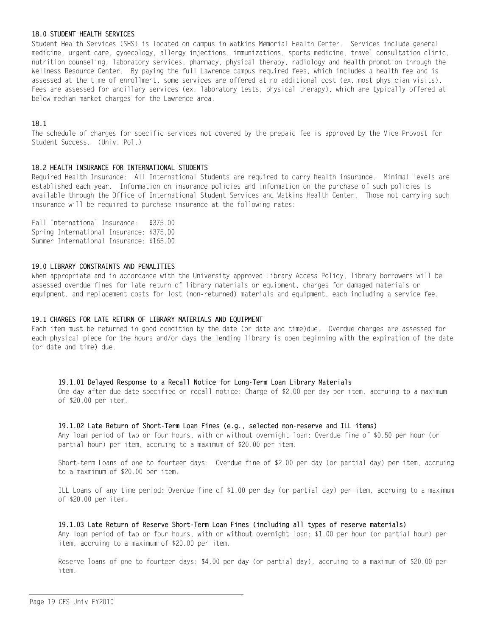#### 18.0 STUDENT HEALTH SERVICES

Student Health Services (SHS) is located on campus in Watkins Memorial Health Center. Services include general medicine, urgent care, gynecology, allergy injections, immunizations, sports medicine, travel consultation clinic, nutrition counseling, laboratory services, pharmacy, physical therapy, radiology and health promotion through the Wellness Resource Center. By paying the full Lawrence campus required fees, which includes a health fee and is assessed at the time of enrollment, some services are offered at no additional cost (ex. most physician visits). Fees are assessed for ancillary services (ex. laboratory tests, physical therapy), which are typically offered at below median market charges for the Lawrence area.

### $18.1$

The schedule of charges for specific services not covered by the prepaid fee is approved by the Vice Provost for Student Success. (Univ. Pol.)

#### 18.2 HEALTH INSURANCE FOR INTERNATIONAL STUDENTS

Required Health Insurance: All International Students are required to carry health insurance. Minimal levels are established each year. Information on insurance policies and information on the purchase of such policies is available through the Office of International Student Services and Watkins Health Center. Those not carrying such insurance will be required to purchase insurance at the following rates:

Fall International Insurance: \$375.00 Spring International Insurance: \$375.00 Summer International Insurance: \$165.00

### 19.0 LIBRARY CONSTRAINTS AND PENALITIES

When appropriate and in accordance with the University approved Library Access Policy, library borrowers will be assessed overdue fines for late return of library materials or equipment, charges for damaged materials or equipment, and replacement costs for lost (non-returned) materials and equipment, each including a service fee.

#### 19.1 CHARGES FOR LATE RETURN OF LIBRARY MATERIALS AND EQUIPMENT

Each item must be returned in good condition by the date (or date and time)due. Overdue charges are assessed for each physical piece for the hours and/or days the lending library is open beginning with the expiration of the date (or date and time) due.

#### 19.1.01 Delayed Response to a Recall Notice for Long-Term Loan Library Materials

One day after due date specified on recall notice: Charge of \$2.00 per day per item, accruing to a maximum of \$20.00 per item.

#### 19.1.02 Late Return of Short-Term Loan Fines (e.g., selected non-reserve and ILL items)

Any loan period of two or four hours, with or without overnight loan: Overdue fine of \$0.50 per hour (or partial hour) per item, accruing to a maximum of \$20.00 per item.

Short-term Loans of one to fourteen days: Overdue fine of \$2.00 per day (or partial day) per item, accruing to a maxmimum of \$20.00 per item.

ILL Loans of any time period: Overdue fine of \$1.00 per day (or partial day) per item, accruing to a maximum of \$20.00 per item.

### 19.1.03 Late Return of Reserve Short-Term Loan Fines (including all types of reserve materials)

Any loan period of two or four hours, with or without overnight loan: \$1.00 per hour (or partial hour) per item, accruing to a maximum of \$20.00 per item.

Reserve loans of one to fourteen days: \$4.00 per day (or partial day), accruing to a maximum of \$20.00 per item.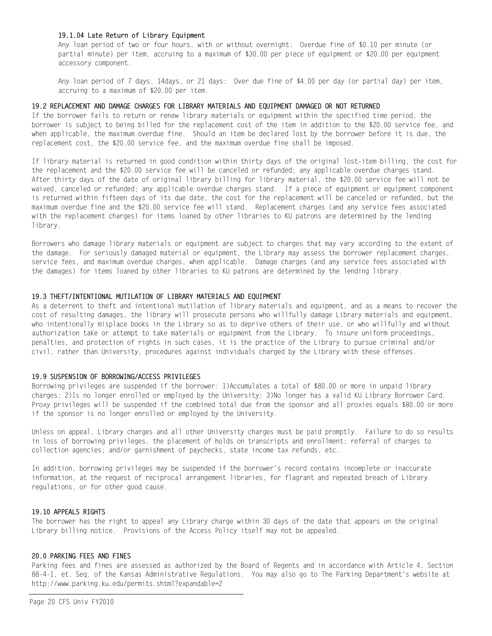### 19.1.04 Late Return of Library Equipment

Any loan period of two or four hours, with or without overnight: Overdue fine of \$0.10 per minute (or partial minute) per item, accruing to a maximum of \$30.00 per piece of equipment or \$20.00 per equipment accessory component.

Any loan period of 7 days. 14days, or 21 days: Over due fine of \$4.00 per day (or partial day) per item, accruing to a maximum of \$20.00 per item.

#### 19.2 REPLACEMENT AND DAMAGE CHARGES FOR LIBRARY MATERIALS AND EQUIPMENT DAMAGED OR NOT RETURNED

If the borrower fails to return or renew library materials or equipment within the specified time period, the borrower is subject to being billed for the replacement cost of the item in addition to the \$20.00 service fee, and when applicable, the maximum overdue fine. Should an item be declared lost by the borrower before it is due, the replacement cost, the \$20.00 service fee, and the maximum overdue fine shall be imposed.

If library material is returned in good condition within thirty days of the original lost-item billing, the cost for the replacement and the \$20.00 service fee will be canceled or refunded; any applicable overdue charges stand. After thirty days of the date of original library billing for library material, the \$20.00 service fee will not be waived, canceled or refunded; any applicable overdue charges stand. If a piece of equipment or equipment component is returned within fifteen days of its due date, the cost for the replacement will be canceled or refunded, but the maximum overdue fine and the \$20.00 service fee will stand. Replacement charges (and any service fees associated with the replacement charges) for items loaned by other libraries to KU patrons are determined by the lending library.

Borrowers who damage library materials or equipment are subject to charges that may vary according to the extent of the damage. For seriously damaged material or equipment, the Library may assess the borrower replacement charges, service fees, and maximum overdue charges, when applicable. Damage charges (and any service fees associated with the damages) for items loaned by other libraries to KU patrons are determined by the lending library.

#### 19.3 THEFT/INTENTIONAL MUTILATION OF LIBRARY MATERIALS AND EQUIPMENT

As a deterrent to theft and intentional mutilation of library materials and equipment, and as a means to recover the cost of resulting damages, the library will prosecute persons who willfully damage Library materials and equipment, who intentionally misplace books in the Library so as to deprive others of their use, or who willfully and without authorization take or attempt to take materials or equipment from the Library. To insure uniform proceedings, penalties, and protection of rights in such cases, it is the practice of the Library to pursue criminal and/or civil, rather than University, procedures against individuals charged by the Library with these offenses.

#### 19.9 SUSPENSION OF BORROWING/ACCESS PRIVILEGES

Borrowing privileges are suspended if the borrower: 1)Accumulates a total of \$80.00 or more in unpaid library charges; 2) Is no longer enrolled or employed by the University; 3) No longer has a valid KU Library Borrower Card. Proxy privileges will be suspended if the combined total due from the sponsor and all proxies equals \$80.00 or more if the sponsor is no longer enrolled or employed by the University.

Unless on appeal, Library charges and all other University charges must be paid promptly. Failure to do so results in loss of borrowing privileges, the placement of holds on transcripts and enrollment; referral of charges to collection agencies; and/or garnishment of paychecks, state income tax refunds, etc.

In addition, borrowing privileges may be suspended if the borrower's record contains incomplete or inaccurate information, at the request of reciprocal arrangement libraries, for flagrant and repeated breach of Library regulations, or for other good cause.

### 19.10 APPFALS RIGHTS

The borrower has the right to appeal any Library charge within 30 days of the date that appears on the original Library billing notice. Provisions of the Access Policy itself may not be appealed.

#### 20.0 PARKING FEES AND FINES

Parking fees and fines are assessed as authorized by the Board of Regents and in accordance with Article 4, Section 88-4-1, et. Seq. of the Kansas Administrative Regulations. You may also go to The Parking Department's website at http://www.parking.ku.edu/permits.shtml?expandable=2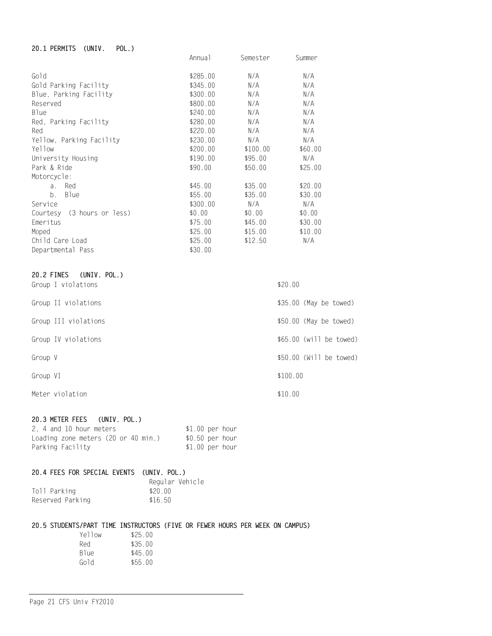#### 20.1 PERMITS (UNIV. POL.) Annua1 Semester Summer Gold \$285.00  $N/A$  $N/A$  $N/A$ Gold Parking Facility \$345.00  $N/A$ Blue, Parking Facility \$300.00  $N/A$  $N/A$ Reserved \$800.00  $N/A$  $N/A$ **Blue** \$240.00  $N/A$  $N/A$ Red, Parking Facility \$280.00  $N/A$  $N/A$ Red \$220.00  $N/A$  $N/A$ Yellow, Parking Facility \$230.00  $N/A$  $N/A$ Yellow \$200.00  $$100.00$ \$60.00 \$190.00 \$95.00 University Housing  $N/A$ Park & Ride \$90.00  $$50.00$  $$25.00$ Motorcycle: a. Red \$35.00 \$20.00  $$45.00$ b. Blue  $$55.00$  $$35.00$ \$30.00  $N/A$ \$300.00  $N/A$ Service  $$0.00$ Courtesy (3 hours or less)  $$0.00$  $$0.00$ Emeritus  $$75.00$ \$45.00 \$30.00 Moped  $$25.00$  $$15.00$  $$10.00$ Child Care Load  $$25.00$  $$12.50$  $N/A$ Departmental Pass \$30.00

| 20.2 FINES (UNIV. POL.) |                         |
|-------------------------|-------------------------|
| Group I violations      | \$20.00                 |
| Group II violations     | \$35.00 (May be towed)  |
| Group III violations    | \$50.00 (May be towed)  |
| Group IV violations     | \$65.00 (will be towed) |
| Group V                 | \$50.00 (Will be towed) |
| Group VI                | \$100.00                |
| Meter violation         | \$10.00                 |

### 20.3 METER FEES (UNIV. POL.)

| 2. 4 and 10 hour meters             | $$1.00$ per hour |  |
|-------------------------------------|------------------|--|
| Loading zone meters (20 or 40 min.) | \$0.50 per hour  |  |
| Parking Facility                    | $$1.00$ per hour |  |

### 20.4 FEES FOR SPECIAL EVENTS (UNIV. POL.)

|                  | Regular Vehicle |  |
|------------------|-----------------|--|
| Toll Parking     | \$20.00         |  |
| Reserved Parking | \$16.50         |  |

### 20.5 STUDENTS/PART TIME INSTRUCTORS (FIVE OR FEWER HOURS PER WEEK ON CAMPUS)

| Yellow | \$25.00 |
|--------|---------|
| Red    | \$35.00 |
| Blue   | \$45.00 |
| Gold   | \$55.00 |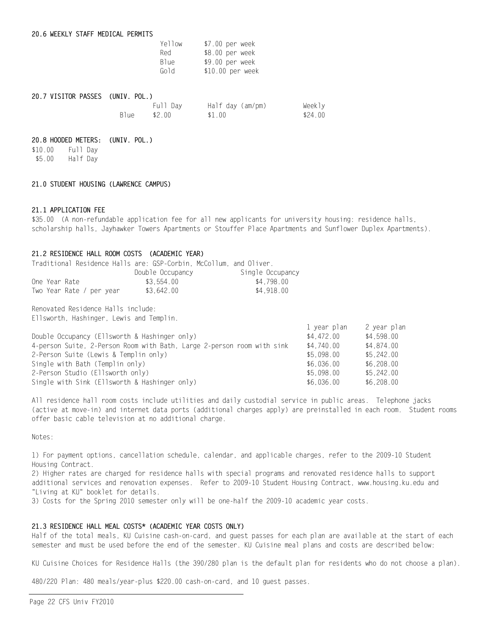| Yellow           | \$7.00 per week  |
|------------------|------------------|
| Red              | \$8.00 per week  |
| B <sub>1ue</sub> | \$9.00 per week  |
| Gold             | \$10.00 per week |

| 20.7 VISITOR PASSES (UNIV. POL.) |        |          |                  |         |
|----------------------------------|--------|----------|------------------|---------|
|                                  |        | Full Dav | Half day (am/pm) | Weekly  |
|                                  | B1ue — | \$2.00   | \$1.00           | \$24.00 |

#### 20.8 HOODED METERS: (UNIV. POL.)

\$10.00 Full Day \$5.00 Half Day

#### 21.0 STUDENT HOUSING (LAWRENCE CAMPUS)

#### 21.1 APPLICATION FEE

\$35.00 (A non-refundable application fee for all new applicants for university housing: residence halls, scholarship halls, Jayhawker Towers Apartments or Stouffer Place Apartments and Sunflower Duplex Apartments).

#### 21.2 RESIDENCE HALL ROOM COSTS (ACADEMIC YEAR)

| Traditional Residence Halls are: GSP-Corbin. McCollum. and Oliver. |                  |                  |
|--------------------------------------------------------------------|------------------|------------------|
|                                                                    | Double Occupancy | Single Occupancy |
| One Year Rate                                                      | \$3.554.00       | \$4.798.00       |
| Two Year Rate / per year                                           | \$3.642.00       | \$4.918.00       |

Renovated Residence Halls include: Ellsworth, Hashinger, Lewis and Templin.

| T Afqi hiqil | z year pian |
|--------------|-------------|
| \$4,472.00   | \$4,598.00  |
| \$4,740.00   | \$4.874.00  |
| \$5.098.00   | \$5.242.00  |
| \$6.036.00   | \$6,208,00  |
| \$5,098,00   | \$5,242,00  |
| \$6,036,00   | \$6,208,00  |
|              |             |

All residence hall room costs include utilities and daily custodial service in public areas. Telephone jacks (active at move-in) and internet data ports (additional charges apply) are preinstalled in each room. Student rooms offer basic cable television at no additional charge.

 $1 \text{ times a plane}$   $2 \text{ times a line}$ 

Notes:

1) For payment options, cancellation schedule, calendar, and applicable charges, refer to the 2009-10 Student Housing Contract.

2) Higher rates are charged for residence halls with special programs and renovated residence halls to support additional services and renovation expenses. Refer to 2009-10 Student Housing Contract, www.housing.ku.edu and "Living at KU" booklet for details.

3) Costs for the Spring 2010 semester only will be one-half the 2009-10 academic year costs.

### 21.3 RESIDENCE HALL MEAL COSTS\* (ACADEMIC YEAR COSTS ONLY)

Half of the total meals, KU Cuisine cash-on-card, and quest passes for each plan are available at the start of each semester and must be used before the end of the semester. KU Cuisine meal plans and costs are described below:

KU Cuisine Choices for Residence Halls (the 390/280 plan is the default plan for residents who do not choose a plan).

480/220 Plan: 480 meals/year-plus \$220.00 cash-on-card, and 10 guest passes.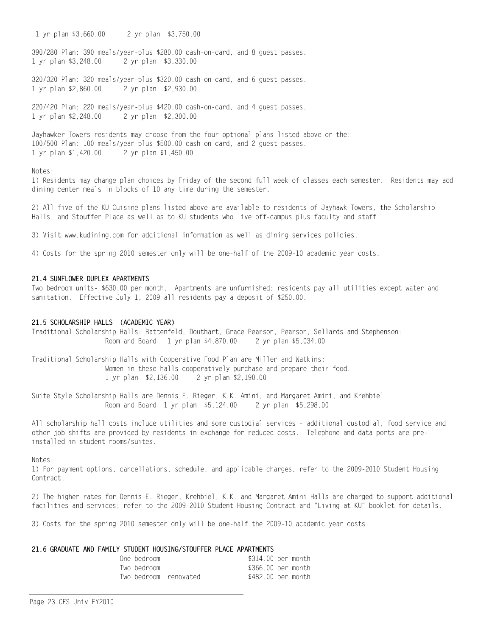1 yr plan \$3,660.00 2 yr plan \$3,750.00

390/280 Plan: 390 meals/year-plus \$280.00 cash-on-card, and 8 guest passes. 1 yr plan \$3,248.00 2 yr plan \$3,330.00

320/320 Plan: 320 meals/year-plus \$320.00 cash-on-card, and 6 guest passes. 1 yr plan \$2,860.00 2 yr plan \$2,930.00

220/420 Plan: 220 meals/year-plus \$420.00 cash-on-card, and 4 guest passes. 2 yr plan \$2,300.00 1 yr plan \$2,248.00

Jayhawker Towers residents may choose from the four optional plans listed above or the: 100/500 Plan: 100 meals/year-plus \$500.00 cash on card, and 2 guest passes. 1 yr plan \$1,420.00 2 yr plan \$1,450.00

#### $N$ otes $\cdot$

1) Residents may change plan choices by Friday of the second full week of classes each semester. Residents may add dining center meals in blocks of 10 any time during the semester.

2) All five of the KU Cuisine plans listed above are available to residents of Jayhawk Towers, the Scholarship Halls, and Stouffer Place as well as to KU students who live off-campus plus faculty and staff.

3) Visit www.kudining.com for additional information as well as dining services policies.

4) Costs for the spring 2010 semester only will be one-half of the 2009-10 academic year costs.

#### 21.4 SUNFLOWER DUPLEX APARTMENTS

Two bedroom units- \$630.00 per month. Apartments are unfurnished; residents pay all utilities except water and sanitation. Effective July 1, 2009 all residents pay a deposit of \$250.00.

#### 21.5 SCHOLARSHIP HALLS (ACADEMIC YEAR)

Traditional Scholarship Halls: Battenfeld, Douthart, Grace Pearson, Pearson, Sellards and Stephenson: Room and Board 1 yr plan \$4,870.00 2 yr plan \$5,034.00

Traditional Scholarship Halls with Cooperative Food Plan are Miller and Watkins: Women in these halls cooperatively purchase and prepare their food. 1 yr plan \$2,136.00 2 yr plan \$2,190.00

Suite Style Scholarship Halls are Dennis E. Rieger, K.K. Amini, and Margaret Amini, and Krehbiel Room and Board 1 yr plan \$5,124.00 2 yr plan \$5,298.00

All scholarship hall costs include utilities and some custodial services - additional custodial, food service and other job shifts are provided by residents in exchange for reduced costs. Telephone and data ports are preinstalled in student rooms/suites.

Notes ·

1) For payment options, cancellations, schedule, and applicable charges, refer to the 2009-2010 Student Housing Contract.

2) The higher rates for Dennis E. Rieger, Krehbiel, K.K. and Margaret Amini Halls are charged to support additional facilities and services; refer to the 2009-2010 Student Housing Contract and "Living at KU" booklet for details.

3) Costs for the spring 2010 semester only will be one-half the 2009-10 academic year costs.

#### 21.6 GRADUATE AND FAMILY STUDENT HOUSING/STOUFFER PLACE APARTMENTS

| One bedroom |                       | \$314.00 per month |  |
|-------------|-----------------------|--------------------|--|
| Two bedroom |                       | \$366.00 per month |  |
|             | Two bedroom renovated | \$482.00 per month |  |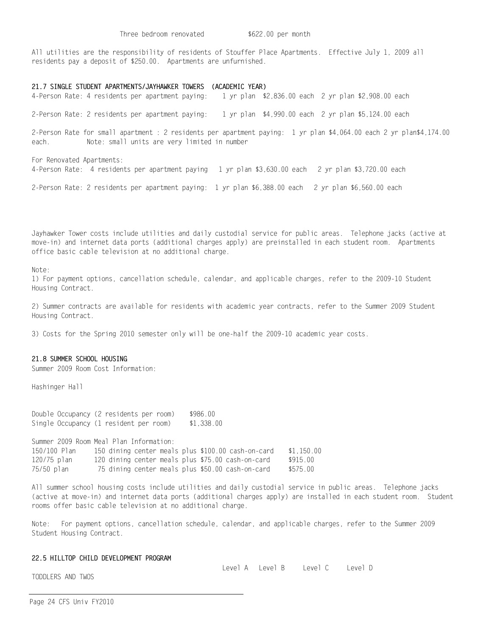All utilities are the responsibility of residents of Stouffer Place Apartments. Effective July 1, 2009 all residents pay a deposit of \$250.00. Apartments are unfurnished.

### 21.7 SINGLE STUDENT APARTMENTS/JAYHAWKER TOWERS (ACADEMIC YEAR)

4-Person Rate: 4 residents per apartment paying: 1 yr plan \$2,836.00 each 2 yr plan \$2,908.00 each

2-Person Rate: 2 residents per apartment paying: 1 yr plan \$4,990.00 each 2 yr plan \$5,124.00 each

2-Person Rate for small apartment : 2 residents per apartment paying: 1 yr plan \$4,064.00 each 2 yr plan\$4,174.00 Note: small units are very limited in number each.

For Renovated Apartments: 4-Person Rate: 4 residents per apartment paying 1 yr plan \$3,630.00 each 2 yr plan \$3,720.00 each

2-Person Rate: 2 residents per apartment paying: 1 yr plan \$6,388.00 each 2 yr plan \$6,560.00 each

Jayhawker Tower costs include utilities and daily custodial service for public areas. Telephone jacks (active at move-in) and internet data ports (additional charges apply) are preinstalled in each student room. Apartments office basic cable television at no additional charge.

Note:

1) For payment options, cancellation schedule, calendar, and applicable charges, refer to the 2009-10 Student Housing Contract.

2) Summer contracts are available for residents with academic year contracts, refer to the Summer 2009 Student Housing Contract.

3) Costs for the Spring 2010 semester only will be one-half the 2009-10 academic year costs.

#### 21.8 SUMMER SCHOOL HOUSING

Summer 2009 Room Cost Information:

Hashinger Hall

Double Occupancy (2 residents per room) \$986.00 Single Occupancy (1 resident per room) \$1,338.00

Summer 2009 Room Meal Plan Information: 150/100 Plan 150 dining center meals plus \$100.00 cash-on-card \$1,150.00 120/75 plan 120 dining center meals plus \$75.00 cash-on-card \$915.00 75/50 plan 75 dining center meals plus \$50.00 cash-on-card \$575.00

All summer school housing costs include utilities and daily custodial service in public areas. Telephone jacks (active at move-in) and internet data ports (additional charges apply) are installed in each student room. Student rooms offer basic cable television at no additional charge.

Note: For payment options, cancellation schedule, calendar, and applicable charges, refer to the Summer 2009 Student Housing Contract.

#### 22.5 HILLTOP CHILD DEVELOPMENT PROGRAM

Level A Level B Level C Level D

TODDLERS AND TWOS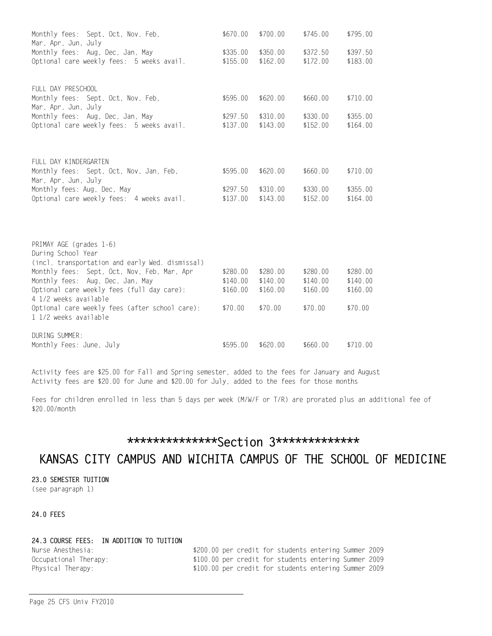| Monthly fees: Sept, Oct, Nov, Feb,<br>Mar, Apr, Jun, July           | \$670.00             | \$700.00             | \$745.00             | \$795.00             |
|---------------------------------------------------------------------|----------------------|----------------------|----------------------|----------------------|
| Monthly fees: Aug, Dec, Jan, May                                    | \$335.00             | \$350.00             | \$372.50             | \$397.50             |
| Optional care weekly fees: 5 weeks avail.                           | \$155.00             | \$162.00             | \$172.00             | \$183.00             |
| FULL DAY PRESCHOOL                                                  |                      |                      |                      |                      |
| Monthly fees: Sept, Oct, Nov, Feb,<br>Mar, Apr, Jun, July           | \$595.00             | \$620.00             | \$660.00             | \$710.00             |
| Monthly fees: Aug, Dec, Jan, May                                    | \$297.50             | \$310.00             | \$330.00             | \$355.00             |
| Optional care weekly fees: 5 weeks avail.                           | \$137.00             | \$143.00             | \$152.00             | \$164.00             |
|                                                                     |                      |                      |                      |                      |
| FULL DAY KINDERGARTEN                                               |                      |                      |                      |                      |
| Monthly fees: Sept, Oct, Nov, Jan, Feb,<br>Mar, Apr, Jun, July      | \$595.00             | \$620.00             | \$660.00             | \$710.00             |
| Monthly fees: Aug, Dec, May                                         | \$297.50             | \$310.00             | \$330.00             | \$355.00             |
| Optional care weekly fees: 4 weeks avail.                           | \$137.00             | \$143.00             | \$152.00             | \$164.00             |
|                                                                     |                      |                      |                      |                      |
| PRIMAY AGE (grades 1-6)                                             |                      |                      |                      |                      |
| During School Year                                                  |                      |                      |                      |                      |
| (incl. transportation and early Wed. dismissal)                     |                      |                      |                      |                      |
| Monthly fees: Sept, Oct, Nov, Feb, Mar, Apr                         | \$280.00             | \$280.00             | \$280.00             | \$280.00             |
| Monthly fees: Aug, Dec, Jan, May                                    | \$140.00<br>\$160.00 | \$140.00<br>\$160.00 | \$140.00<br>\$160.00 | \$140.00<br>\$160.00 |
| Optional care weekly fees (full day care):<br>4 1/2 weeks available |                      |                      |                      |                      |
| Optional care weekly fees (after school care):                      | \$70.00              | \$70.00              | \$70.00              | \$70.00              |
| 1 1/2 weeks available                                               |                      |                      |                      |                      |
| DURING SUMMER:                                                      |                      |                      |                      |                      |
| Monthly Fees: June, July                                            | \$595.00             | \$620.00             | \$660.00             | \$710.00             |

Activity fees are \$25.00 for Fall and Spring semester, added to the fees for January and August Activity fees are \$20.00 for June and \$20.00 for July, added to the fees for those months

Fees for children enrolled in less than 5 days per week (M/W/F or T/R) are prorated plus an additional fee of \$20.00/month

## \*\*\*\*\*\*\*\*\*\*\*\*\*\*\*Section 3\*\*\*\*\*\*\*\*\*\*\*\*\*

## KANSAS CITY CAMPUS AND WICHITA CAMPUS OF THE SCHOOL OF MEDICINE

23.0 SEMESTER TUITION (see paragraph 1)

## 24.0 FEES

### 24.3 COURSE FEES: IN ADDITION TO TUITION

| Nurse Anesthesia:     |  |  | \$200.00 per credit for students entering Summer 2009 |  |
|-----------------------|--|--|-------------------------------------------------------|--|
| Occupational Therapy: |  |  | \$100.00 per credit for students entering Summer 2009 |  |
| Physical Therapy:     |  |  | \$100.00 per credit for students entering Summer 2009 |  |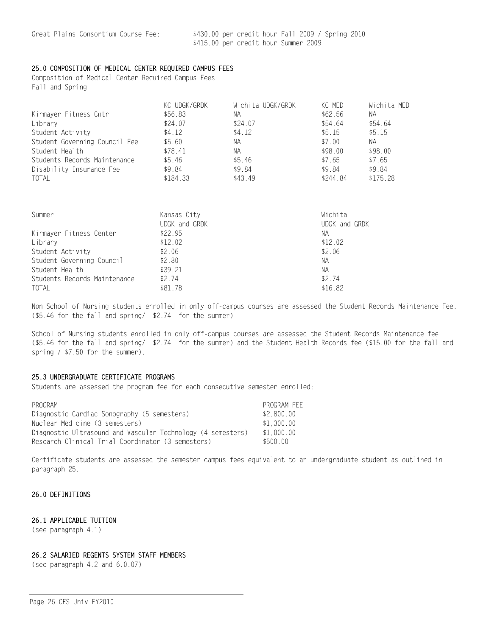### 25.0 COMPOSITION OF MEDICAL CENTER REQUIRED CAMPUS FEES

Composition of Medical Center Required Campus Fees Fall and Spring

|                               | KC UDGK/GRDK | Wichita UDGK/GRDK | KC MED   | Wichita MED |
|-------------------------------|--------------|-------------------|----------|-------------|
| Kirmayer Fitness Cntr         | \$56.83      | NА                | \$62.56  | NA.         |
| Library                       | \$24.07      | \$24.07           | \$54.64  | \$54.64     |
| Student Activity              | \$4.12       | \$4.12            | \$5.15   | \$5.15      |
| Student Governing Council Fee | \$5.60       | NА                | \$7.00   | NA.         |
| Student Health                | \$78.41      | NА                | \$98.00  | \$98.00     |
| Students Records Maintenance  | \$5.46       | \$5.46            | \$7.65   | \$7.65      |
| Disability Insurance Fee      | \$9.84       | \$9.84            | \$9.84   | \$9.84      |
| TOTAL                         | \$184.33     | \$43.49           | \$244.84 | \$175.28    |

| Summer                       | Kansas City   | Wichita       |
|------------------------------|---------------|---------------|
|                              | UDGK and GRDK | UDGK and GRDK |
| Kirmayer Fitness Center      | \$22.95       | NА            |
| Library                      | \$12.02       | \$12.02       |
| Student Activity             | \$2.06        | \$2.06        |
| Student Governing Council    | \$2.80        | NА            |
| Student Health               | \$39.21       | NА            |
| Students Records Maintenance | \$2.74        | \$2.74        |
| <b>TOTAL</b>                 | \$81.78       | \$16.82       |

Non School of Nursing students enrolled in only off-campus courses are assessed the Student Records Maintenance Fee. (\$5.46 for the fall and spring/ \$2.74 for the summer)

School of Nursing students enrolled in only off-campus courses are assessed the Student Records Maintenance fee (\$5.46 for the fall and spring/ \$2.74 for the summer) and the Student Health Records fee (\$15.00 for the fall and spring / \$7.50 for the summer).

#### 25.3 UNDERGRADUATE CERTIFICATE PROGRAMS

Students are assessed the program fee for each consecutive semester enrolled:

| PROGRAM                                                     | PROGRAM FEE |
|-------------------------------------------------------------|-------------|
| Diagnostic Cardiac Sonography (5 semesters)                 | \$2,800.00  |
| Nuclear Medicine (3 semesters)                              | \$1.300.00  |
| Diagnostic Ultrasound and Vascular Technology (4 semesters) | \$1.000.00  |
| Research Clinical Trial Coordinator (3 semesters)           | \$500.00    |

Certificate students are assessed the semester campus fees equivalent to an undergraduate student as outlined in paragraph 25.

#### 26.0 DEFINITIONS

### 26.1 APPLICABLE TUITION

(see paragraph 4.1)

#### 26.2 SALARIED REGENTS SYSTEM STAFF MEMBERS

(see paragraph 4.2 and 6.0.07)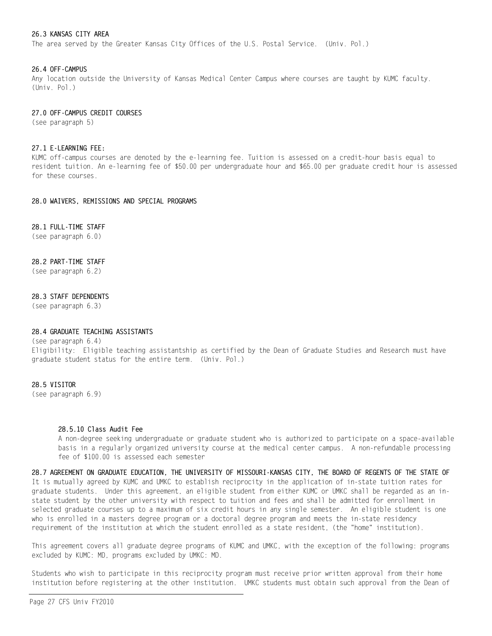#### 26.3 KANSAS CITY AREA

The area served by the Greater Kansas City Offices of the U.S. Postal Service. (Univ. Pol.)

#### 26.4 OFF-CAMPUS

Any location outside the University of Kansas Medical Center Campus where courses are taught by KUMC faculty.  $(Univ. Pol.)$ 

#### 27.0 OFF-CAMPUS CREDIT COURSES

(see paragraph 5)

#### 27.1 E-LEARNING FEE:

KUMC off-campus courses are denoted by the e-learning fee. Tuition is assessed on a credit-hour basis equal to resident tuition. An e-learning fee of \$50.00 per undergraduate hour and \$65.00 per graduate credit hour is assessed for these courses

#### 28.0 WAIVERS, REMISSIONS AND SPECIAL PROGRAMS

#### 28.1 FULL-TIME STAFF

(see paragraph 6.0)

#### 28.2 PART-TIME STAFF

(see paragraph 6.2)

#### 28.3 STAFF DEPENDENTS

(see paragraph 6.3)

### 28.4 GRADUATE TEACHING ASSISTANTS

#### (see paragraph 6.4)

Eligibility: Eligible teaching assistantship as certified by the Dean of Graduate Studies and Research must have graduate student status for the entire term. (Univ. Pol.)

#### 28.5 VISITOR

(see paragraph 6.9)

#### 28.5.10 Class Audit Fee

A non-degree seeking undergraduate or graduate student who is authorized to participate on a space-available basis in a regularly organized university course at the medical center campus. A non-refundable processing fee of \$100.00 is assessed each semester

28.7 AGREEMENT ON GRADUATE EDUCATION, THE UNIVERSITY OF MISSOURI-KANSAS CITY, THE BOARD OF REGENTS OF THE STATE OF It is mutually agreed by KUMC and UMKC to establish reciprocity in the application of in-state tuition rates for graduate students. Under this agreement, an eligible student from either KUMC or UMKC shall be regarded as an instate student by the other university with respect to tuition and fees and shall be admitted for enrollment in selected graduate courses up to a maximum of six credit hours in any single semester. An eligible student is one who is enrolled in a masters degree program or a doctoral degree program and meets the in-state residency requirement of the institution at which the student enrolled as a state resident. (the "home" institution).

This agreement covers all graduate degree programs of KUMC and UMKC, with the exception of the following: programs excluded by KUMC: MD, programs excluded by UMKC: MD.

Students who wish to participate in this reciprocity program must receive prior written approval from their home institution before registering at the other institution. UMKC students must obtain such approval from the Dean of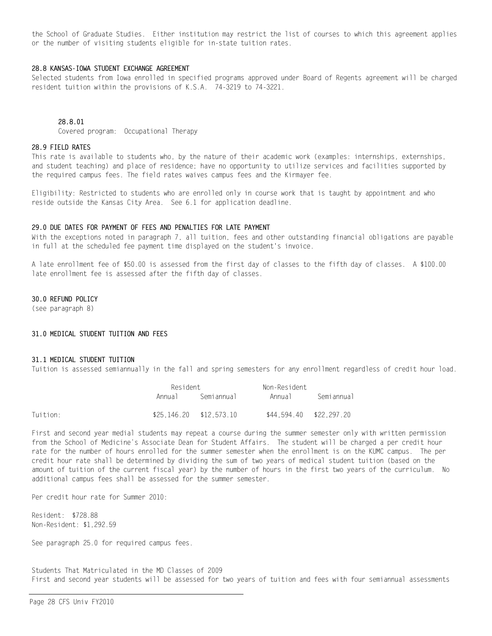the School of Graduate Studies. Either institution may restrict the list of courses to which this agreement applies or the number of visiting students eligible for in-state tuition rates.

#### 28.8 KANSAS-TOWA STUDENT EXCHANGE AGREEMENT

Selected students from Iowa enrolled in specified programs approved under Board of Regents agreement will be charged resident tuition within the provisions of K.S.A. 74-3219 to 74-3221.

#### 28 8 01

Covered program: Occupational Therapy

#### 28.9 FIELD RATES

This rate is available to students who, by the nature of their academic work (examples: internships, externships, and student teaching) and place of residence; have no opportunity to utilize services and facilities supported by the required campus fees. The field rates waives campus fees and the Kirmayer fee.

Eligibility: Restricted to students who are enrolled only in course work that is taught by appointment and who reside outside the Kansas City Area. See 6.1 for application deadline.

#### 29.0 DUE DATES FOR PAYMENT OF FEES AND PENALTIES FOR LATE PAYMENT

With the exceptions noted in paragraph 7, all tuition, fees and other outstanding financial obligations are payable in full at the scheduled fee payment time displayed on the student's invoice.

A late enrollment fee of \$50.00 is assessed from the first day of classes to the fifth day of classes. A \$100.00 late enrollment fee is assessed after the fifth day of classes.

#### 30.0 REFUND POLICY

(see paragraph 8)

### 31.0 MEDICAL STUDENT TUITION AND FEES

#### 31.1 MEDICAL STUDENT TUITION

Tuition is assessed semiannually in the fall and spring semesters for any enrollment regardless of credit hour load.

|          |         | Resident                  |                         |            |  |
|----------|---------|---------------------------|-------------------------|------------|--|
|          | Annua I | Semiannual                | Annual                  | Semiannual |  |
| Tuition: |         | $$25.146.20$ $$12.573.10$ | \$44.594.40 \$22.297.20 |            |  |

First and second year medial students may repeat a course during the summer semester only with written permission from the School of Medicine's Associate Dean for Student Affairs. The student will be charged a per credit hour rate for the number of hours enrolled for the summer semester when the enrollment is on the KUMC campus. The per credit hour rate shall be determined by dividing the sum of two years of medical student tuition (based on the amount of tuition of the current fiscal year) by the number of hours in the first two years of the curriculum. No additional campus fees shall be assessed for the summer semester.

Per credit hour rate for Summer 2010:

Resident: \$728.88 Non-Resident: \$1,292.59

See paragraph 25.0 for required campus fees.

Students That Matriculated in the MD Classes of 2009 First and second year students will be assessed for two years of tuition and fees with four semiannual assessments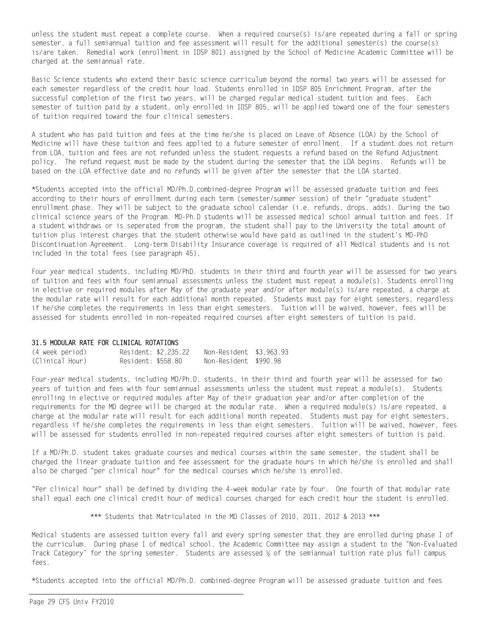unless the student must repeat a complete course. When a required course(s) is/are repeated during a fall or spring semester, a full semiannual tuition and fee assessment will result for the additional semester(s) the course(s) is/are taken. Remedial work (enrollment in IDSP 801) assigned by the School of Medicine Academic Committee will be charged at the semiannual rate.

Basic Science students who extend their basic science curriculum beyond the normal two years will be assessed for each semester regardless of the credit hour load. Students enrolled in IDSP 805 Enrichment Program, after the successful completion of the first two years, will be charged regular medical student tuition and fees. Each semester of tuition paid by a student, only enrolled in IDSP 805, will be applied toward one of the four semesters of tuition required toward the four clinical semesters.

A student who has paid tuition and fees at the time he/she is placed on Leave of Absence (LOA) by the School of Medicine will have these tuition and fees applied to a future semester of enrollment. If a student does not return from LOA, tuition and fees are not refunded unless the student requests a refund based on the Refund Adjustment policy. The refund request must be made by the student during the semester that the LOA begins. Refunds will be based on the LOA effective date and no refunds will be given after the semester that the LOA started.

\*Students accepted into the official MD/Ph.D.combined-degree Program will be assessed graduate tuition and fees according to their hours of enrollment during each term (semester/summer session) of their "graduate student" enrollment phase. They will be subject to the graduate school calendar (i.e. refunds, drops, adds). During the two clinical science years of the Program. MD-Ph.D students will be assessed medical school annual tuition and fees. If a student withdraws or is seperated from the program, the student shall pay to the University the total amount of tuition plus interest charges that the student otherwise would have paid as outlined in the student's MD-PhD Discontinuation Agreement. Long-term Disability Insurance coverage is required of all Medical students and is not included in the total fees (see paragraph 45).

Four year medical students, including MD/PhD, students in their third and fourth year will be assessed for two years of tuition and fees with four semiannual assessments unless the student must repeat a module(s). Students enrolling in elective or required modules after May of the graduate year and/or after module(s) is/are repeated, a charge at the modular rate will result for each additional month repeated. Students must pay for eight semesters, regardless if he/she completes the requirements in less than eight semesters. Tuition will be waived, however, fees will be assessed for students enrolled in non-repeated required courses after eight semesters of tuition is paid.

#### 31.5 MODULAR RATE FOR CLINICAL ROTATIONS

| (4 week period) |                    | Resident: \$2.235.22 | Non-Resident \$3.963.93 |  |
|-----------------|--------------------|----------------------|-------------------------|--|
| (Clinical Hour) | Resident: \$558.80 |                      | Non-Resident \$990.98   |  |

Four-year medical students, including MD/Ph.D. students, in their third and fourth year will be assessed for two years of tuition and fees with four semiannual assessments unless the student must repeat a module(s). Students enrolling in elective or required modules after May of their graduation year and/or after completion of the requirements for the MD degree will be charged at the modular rate. When a required module(s) is/are repeated, a charge at the modular rate will result for each additional month repeated. Students must pay for eight semesters, regardless if he/she completes the requirements in less than eight semesters. Tuition will be waived, however, fees will be assessed for students enrolled in non-repeated required courses after eight semesters of tuition is paid.

If a MD/Ph.D. student takes graduate courses and medical courses within the same semester, the student shall be charged the linear graduate tuition and fee assessment for the graduate hours in which he/she is enrolled and shall also be charged "per clinical hour" for the medical courses which he/she is enrolled.

"Per clinical hour" shall be defined by dividing the 4-week modular rate by four. One fourth of that modular rate shall equal each one clinical credit hour of medical courses charged for each credit hour the student is enrolled.

\*\*\* Students that Matriculated in the MD Classes of 2010, 2011, 2012 & 2013 \*\*\*

Medical students are assessed tuition every fall and every spring semester that they are enrolled during phase I of the curriculum. During phase I of medical school, the Academic Committee may assign a student to the "Non-Evaluated Track Category" for the spring semester. Students are assessed 1/2 of the semiannual tuition rate plus full campus fees.

\*Students accepted into the official MD/Ph.D. combined-degree Program will be assessed graduate tuition and fees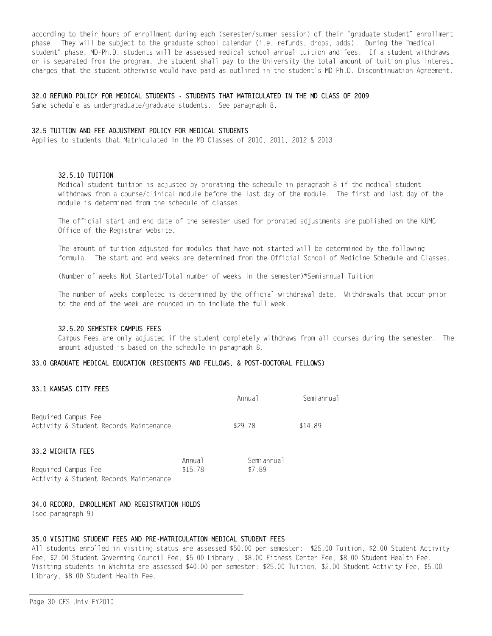according to their hours of enrollment during each (semester/summer session) of their "graduate student" enrollment phase. They will be subject to the graduate school calendar (i.e. refunds, drops, adds). During the "medical student" phase, MD-Ph.D. students will be assessed medical school annual tuition and fees. If a student withdraws or is separated from the program, the student shall pay to the University the total amount of tuition plus interest charges that the student otherwise would have paid as outlined in the student's MD-Ph.D. Discontinuation Agreement.

#### 32.0 REFUND POLICY FOR MEDICAL STUDENTS - STUDENTS THAT MATRICULATED IN THE MD CLASS OF 2009

Same schedule as undergraduate/graduate students. See paragraph 8.

### 32.5 TUITION AND FEE ADJUSTMENT POLICY FOR MEDICAL STUDENTS

Applies to students that Matriculated in the MD Classes of 2010, 2011, 2012 & 2013

#### 32.5.10 TUITION

Medical student tuition is adjusted by prorating the schedule in paragraph 8 if the medical student withdraws from a course/clinical module before the last day of the module. The first and last day of the module is determined from the schedule of classes.

The official start and end date of the semester used for prorated adjustments are published on the KUMC Office of the Registrar website.

The amount of tuition adjusted for modules that have not started will be determined by the following formula. The start and end weeks are determined from the Official School of Medicine Schedule and Classes.

(Number of Weeks Not Started/Total number of weeks in the semester)\*Semiannual Tuition

The number of weeks completed is determined by the official withdrawal date. Withdrawals that occur prior to the end of the week are rounded up to include the full week.

#### 32.5.20 SEMESTER CAMPUS FEES

Campus Fees are only adjusted if the student completely withdraws from all courses during the semester. The amount adjusted is based on the schedule in paragraph 8.

#### 33.0 GRADUATE MEDICAL EDUCATION (RESIDENTS AND FELLOWS, & POST-DOCTORAL FELLOWS)

### 33.1 KANSAS CITY FEES

|                                                               |                   | Annual               | Semiannual |
|---------------------------------------------------------------|-------------------|----------------------|------------|
| Required Campus Fee<br>Activity & Student Records Maintenance |                   | \$29.78              | \$14.89    |
| 33.2 WICHITA FEES                                             |                   |                      |            |
| Required Campus Fee                                           | Annual<br>\$15.78 | Semiannual<br>\$7.89 |            |

#### 34.0 RECORD, ENROLLMENT AND REGISTRATION HOLDS

Activity & Student Records Maintenance

(see paragraph 9)

#### 35.0 VISITING STUDENT FEES AND PRE-MATRICULATION MEDICAL STUDENT FEES

All students enrolled in visiting status are assessed \$50.00 per semester: \$25.00 Tuition, \$2.00 Student Activity Fee, \$2.00 Student Governing Council Fee, \$5.00 Library, \$8.00 Fitness Center Fee, \$8.00 Student Health Fee. Visiting students in Wichita are assessed \$40.00 per semester: \$25.00 Tuition. \$2.00 Student Activity Fee. \$5.00 Library, \$8.00 Student Health Fee.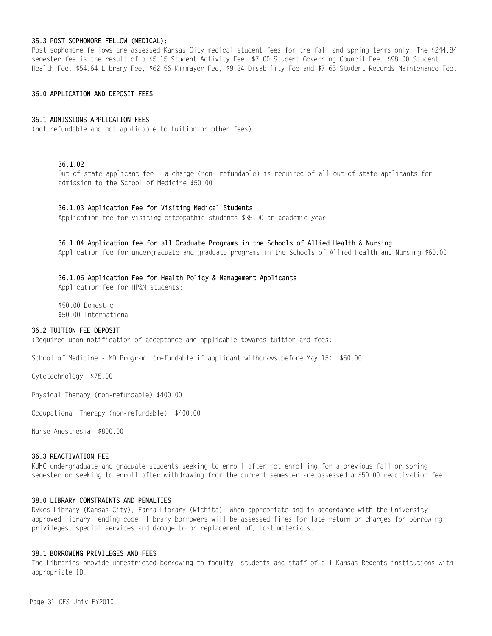#### 35.3 POST SOPHOMORE FELLOW (MEDICAL):

Post sophomore fellows are assessed Kansas City medical student fees for the fall and spring terms only. The \$244.84 semester fee is the result of a \$5.15 Student Activity Fee, \$7.00 Student Governing Council Fee, \$98.00 Student Health Fee, \$54.64 Library Fee, \$62.56 Kirmayer Fee, \$9.84 Disability Fee and \$7.65 Student Records Maintenance Fee.

#### 36.0 APPLICATION AND DEPOSIT FEES

#### 36.1 ADMISSIONS APPLICATION FEES

(not refundable and not applicable to tuition or other fees)

### $36.1.02$

Out-of-state-applicant fee - a charge (non- refundable) is required of all out-of-state applicants for admission to the School of Medicine \$50.00.

#### 36.1.03 Application Fee for Visiting Medical Students

Application fee for visiting osteopathic students \$35.00 an academic year

#### 36.1.04 Application fee for all Graduate Programs in the Schools of Allied Health & Nursing

Application fee for undergraduate and graduate programs in the Schools of Allied Health and Nursing \$60.00

## 36.1.06 Application Fee for Health Policy & Management Applicants

Application fee for HP&M students:

\$50.00 Domestic \$50.00 International

### 36.2 TUITION FEE DEPOSIT

(Required upon notification of acceptance and applicable towards tuition and fees)

School of Medicine - MD Program (refundable if applicant withdraws before May 15) \$50.00

Cytotechnology \$75.00

Physical Therapy (non-refundable) \$400.00

Occupational Therapy (non-refundable) \$400.00

Nurse Anesthesia \$800,00

#### 36.3 REACTIVATION FEE

KUMC undergraduate and graduate students seeking to enroll after not enrolling for a previous fall or spring semester or seeking to enroll after withdrawing from the current semester are assessed a \$50.00 reactivation fee.

#### 38.0 LIBRARY CONSTRAINTS AND PENALTIES

Dykes Library (Kansas City), Farha Library (Wichita): When appropriate and in accordance with the Universityapproved library lending code, library borrowers will be assessed fines for late return or charges for borrowing privileges, special services and damage to or replacement of, lost materials.

#### 38.1 BORROWING PRIVILEGES AND FEES

The Libraries provide unrestricted borrowing to faculty, students and staff of all Kansas Regents institutions with appropriate ID.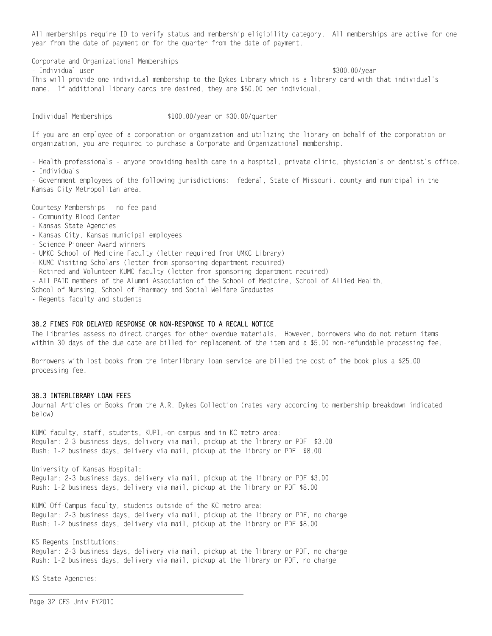All memberships require ID to verify status and membership eligibility category. All memberships are active for one year from the date of payment or for the quarter from the date of payment.

Corporate and Organizational Memberships - Individual user \$300.00/year This will provide one individual membership to the Dykes Library which is a library card with that individual's name. If additional library cards are desired, they are \$50.00 per individual.

Individual Memberships

\$100.00/year or \$30.00/quarter

If you are an employee of a corporation or organization and utilizing the library on behalf of the corporation or organization, you are required to purchase a Corporate and Organizational membership.

- Health professionals - anyone providing health care in a hospital, private clinic, physician's or dentist's office. - Individuals

- Government employees of the following jurisdictions: federal, State of Missouri, county and municipal in the Kansas City Metropolitan area.

Courtesy Memberships - no fee paid

- Community Blood Center
- Kansas State Agencies
- Kansas City, Kansas municipal employees
- Science Pioneer Award winners
- UMKC School of Medicine Faculty (letter required from UMKC Library)
- KUMC Visiting Scholars (letter from sponsoring department required)
- Retired and Volunteer KUMC faculty (letter from sponsoring department required)
- All PAID members of the Alumni Association of the School of Medicine, School of Allied Health,

School of Nursing, School of Pharmacy and Social Welfare Graduates

- Regents faculty and students

#### 38.2 FINES FOR DELAYED RESPONSE OR NON-RESPONSE TO A RECALL NOTICE

The Libraries assess no direct charges for other overdue materials. However, borrowers who do not return items within 30 days of the due date are billed for replacement of the item and a \$5.00 non-refundable processing fee.

Borrowers with lost books from the interlibrary loan service are billed the cost of the book plus a \$25.00 processing fee.

### 38.3 INTERLIBRARY LOAN FEES

Journal Articles or Books from the A.R. Dykes Collection (rates vary according to membership breakdown indicated below)

KUMC faculty, staff, students, KUPI,-on campus and in KC metro area: Regular: 2-3 business days, delivery via mail, pickup at the library or PDF \$3.00 Rush: 1-2 business days, delivery via mail, pickup at the library or PDF \$8.00

University of Kansas Hospital:

Regular: 2-3 business days, delivery via mail, pickup at the library or PDF \$3.00 Rush: 1-2 business days, delivery via mail, pickup at the library or PDF \$8.00

KUMC Off-Campus faculty, students outside of the KC metro area: Regular: 2-3 business days, delivery via mail, pickup at the library or PDF, no charge Rush: 1-2 business days, delivery via mail, pickup at the library or PDF \$8.00

KS Regents Institutions:

Regular: 2-3 business days, delivery via mail, pickup at the library or PDF, no charge Rush: 1-2 business days, delivery via mail, pickup at the library or PDF, no charge

KS State Agencies:

Page 32 CFS Univ FY2010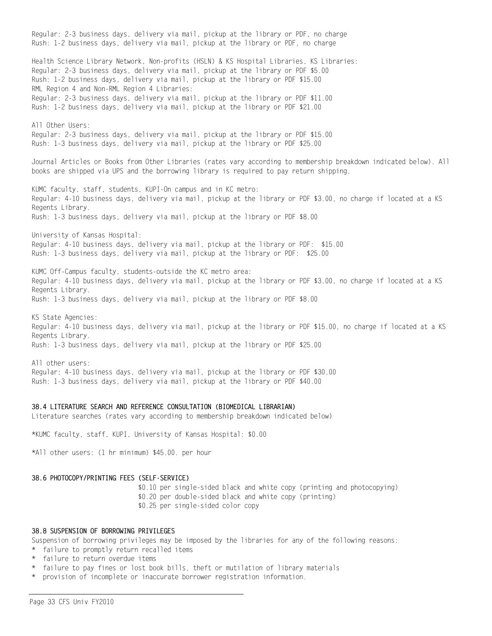Regular: 2-3 business days, delivery via mail, pickup at the library or PDF, no charge Rush: 1-2 business days, delivery via mail, pickup at the library or PDF, no charge Health Science Library Network, Non-profits (HSLN) & KS Hospital Libraries, KS Libraries: Regular: 2-3 business days, delivery via mail, pickup at the library or PDF \$5.00 Rush: 1-2 business days, delivery via mail, pickup at the library or PDF \$15.00 RML Region 4 and Non-RML Region 4 Libraries: Regular: 2-3 business days, delivery via mail, pickup at the library or PDF \$11.00 Rush: 1-2 business days, delivery via mail, pickup at the library or PDF \$21.00 All Other Users: Regular: 2-3 business days, delivery via mail, pickup at the library or PDF \$15.00 Rush: 1-3 business days, delivery via mail, pickup at the library or PDF \$25.00 Journal Articles or Books from Other Libraries (rates vary according to membership breakdown indicated below). All books are shipped via UPS and the borrowing library is required to pay return shipping. KUMC faculty, staff, students, KUPI-On campus and in KC metro: Regular: 4-10 business days, delivery via mail, pickup at the library or PDF \$3.00, no charge if located at a KS Regents Library. Rush: 1-3 business days, delivery via mail, pickup at the library or PDF \$8.00 University of Kansas Hospital: Regular: 4-10 business days, delivery via mail, pickup at the library or PDF: \$15.00 Rush: 1-3 business days, delivery via mail, pickup at the library or PDF: \$25.00 KUMC Off-Campus faculty, students-outside the KC metro area: Regular: 4-10 business days, delivery via mail, pickup at the library or PDF \$3.00, no charge if located at a KS Regents Library. Rush: 1-3 business days, delivery via mail, pickup at the library or PDF \$8.00 KS State Agencies: Regular: 4-10 business days, delivery via mail, pickup at the library or PDF \$15.00, no charge if located at a KS Regents Library. Rush: 1-3 business days, delivery via mail, pickup at the library or PDF \$25.00 All other users: Regular: 4-10 business days, delivery via mail, pickup at the library or PDF \$30.00 Rush: 1-3 business days, delivery via mail, pickup at the library or PDF \$40.00 38.4 LITERATURE SEARCH AND REFERENCE CONSULTATION (BIOMEDICAL LIBRARIAN)

Literature searches (rates vary according to membership breakdown indicated below)

\*KUMC faculty, staff, KUPI, University of Kansas Hospital: \$0.00

\*All other users: (1 hr minimum) \$45.00. per hour

#### 38.6 PHOTOCOPY/PRINTING FEES (SELF-SERVICE)

\$0.10 per single-sided black and white copy (printing and photocopying) \$0.20 per double-sided black and white copy (printing) \$0.25 per single-sided color copy

### 38.8 SUSPENSION OF BORROWING PRIVILEGES

Suspension of borrowing privileges may be imposed by the libraries for any of the following reasons:

- \* failure to promptly return recalled items
- \* failure to return overdue items
- \* failure to pay fines or lost book bills, theft or mutilation of library materials
- \* provision of incomplete or inaccurate borrower registration information.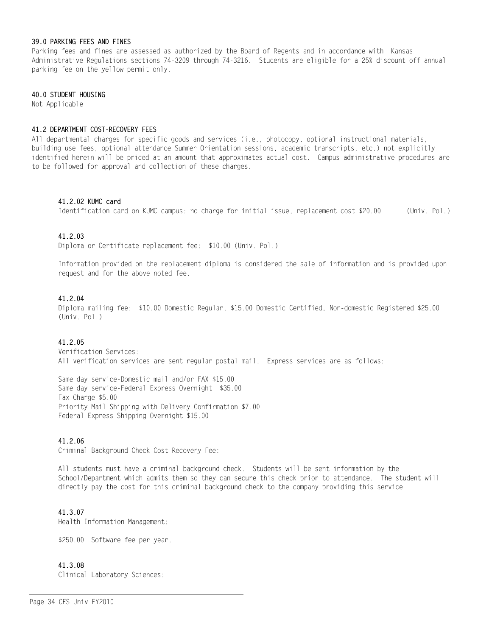### 39.0 PARKING FEES AND FINES

Parking fees and fines are assessed as authorized by the Board of Regents and in accordance with Kansas Administrative Regulations sections 74-3209 through 74-3216. Students are eligible for a 25% discount off annual parking fee on the yellow permit only.

#### 40.0 STUDENT HOUSING

Not Applicable

#### 41.2 DEPARTMENT COST-RECOVERY FEES

All departmental charges for specific goods and services (i.e., photocopy, optional instructional materials, building use fees, optional attendance Summer Orientation sessions, academic transcripts, etc.) not explicitly identified herein will be priced at an amount that approximates actual cost. Campus administrative procedures are to be followed for approval and collection of these charges.

#### 41.2.02 KUMC card

Identification card on KUMC campus: no charge for initial issue, replacement cost \$20.00 (Univ. Pol.)

### 41.2.03

Diploma or Certificate replacement fee: \$10.00 (Univ. Pol.)

Information provided on the replacement diploma is considered the sale of information and is provided upon request and for the above noted fee.

### 41.2.04

Diploma mailing fee: \$10.00 Domestic Regular, \$15.00 Domestic Certified, Non-domestic Registered \$25.00 (Univ. Pol.)

### 41.2.05

Verification Services: All verification services are sent regular postal mail. Express services are as follows:

Same day service-Domestic mail and/or FAX \$15.00 Same day service-Federal Express Overnight \$35.00 Fax Charge \$5.00 Priority Mail Shipping with Delivery Confirmation \$7.00 Federal Express Shipping Overnight \$15.00

### 41.2.06

Criminal Background Check Cost Recovery Fee:

All students must have a criminal background check. Students will be sent information by the School/Department which admits them so they can secure this check prior to attendance. The student will directly pay the cost for this criminal background check to the company providing this service

### 41.3.07

Health Information Management:

\$250.00 Software fee per year.

### 41.3.08

Clinical Laboratory Sciences: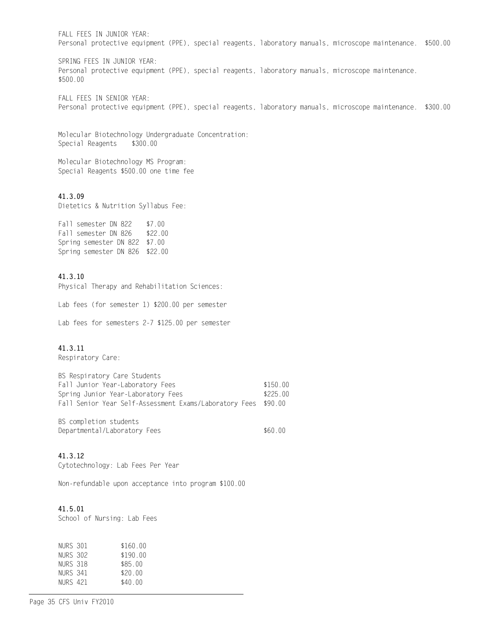FALL FEES IN JUNIOR YEAR: Personal protective equipment (PPE), special reagents, laboratory manuals, microscope maintenance. \$500.00

SPRING FEES IN JUNIOR YEAR: Personal protective equipment (PPE), special reagents, laboratory manuals, microscope maintenance. \$500.00

FALL FEES IN SENIOR YEAR: Personal protective equipment (PPE), special reagents, laboratory manuals, microscope maintenance. \$300.00

Molecular Biotechnology Undergraduate Concentration: Special Reagents \$300.00

Molecular Biotechnology MS Program: Special Reagents \$500.00 one time fee

### 41.3.09

Dietetics & Nutrition Syllabus Fee:

Fall semester DN 822 \$7.00 Fall semester DN 826 \$22.00 Spring semester DN 822 \$7.00 Spring semester DN 826 \$22.00

### 41.3.10

Physical Therapy and Rehabilitation Sciences:

Lab fees (for semester 1) \$200.00 per semester

Lab fees for semesters 2-7 \$125.00 per semester

#### 41.3.11

Respiratory Care:

| BS Respiratory Care Students                           |          |
|--------------------------------------------------------|----------|
| Fall Junior Year-Laboratory Fees                       | \$150.00 |
| Spring Junior Year-Laboratory Fees                     | \$225.00 |
| Fall Senior Year Self-Assessment Exams/Laboratory Fees | \$90.00  |
| BS completion students                                 |          |
| Departmental/Laboratory Fees                           | \$60.00  |

#### 41.3.12

Cytotechnology: Lab Fees Per Year

Non-refundable upon acceptance into program \$100.00

### 41.5.01

School of Nursing: Lab Fees

| NURS 301 | \$160.00 |
|----------|----------|
| NURS 302 | \$190.00 |
| NURS 318 | \$85.00  |
| NURS 341 | \$20.00  |
| NURS 421 | \$40.00  |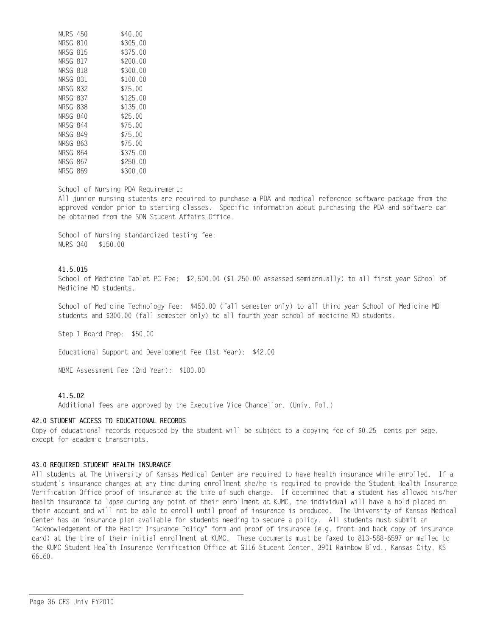| NURS 450 |     | \$40.00      |
|----------|-----|--------------|
| NRSG 810 |     | \$305.00     |
| NRSG 815 |     | \$375.00     |
| NRSG 817 |     | \$200.00     |
| NRSG 818 |     | \$300.00     |
| NRSG 831 |     | \$100.00     |
| NRSG 832 |     | \$75.00      |
| NRSG 837 |     | \$125.00     |
| NRSG 838 |     | \$135.00     |
| NRSG 840 |     | \$25.00      |
| NRSG 844 |     | \$75.00      |
| NRSG 849 |     | \$75.00      |
| NRSG     | 863 | \$75.00      |
| NRSG     | 864 | \$375.00     |
| NRSG 867 |     | \$250.00     |
| NRSG     | 869 | \$300-<br>00 |

School of Nursing PDA Requirement:

All junior nursing students are required to purchase a PDA and medical reference software package from the approved vendor prior to starting classes. Specific information about purchasing the PDA and software can be obtained from the SON Student Affairs Office.

School of Nursing standardized testing fee: NURS 340 \$150.00

### 41.5.015

School of Medicine Tablet PC Fee: \$2,500.00 (\$1,250.00 assessed semiannually) to all first year School of Medicine MD students.

School of Medicine Technology Fee: \$450.00 (fall semester only) to all third year School of Medicine MD students and \$300.00 (fall semester only) to all fourth year school of medicine MD students.

Step 1 Board Prep: \$50.00

Educational Support and Development Fee (1st Year): \$42.00

NBME Assessment Fee (2nd Year): \$100.00

### 41.5.02

Additional fees are approved by the Executive Vice Chancellor. (Univ. Pol.)

#### 42.0 STUDENT ACCESS TO EDUCATIONAL RECORDS

Copy of educational records requested by the student will be subject to a copying fee of \$0.25 -cents per page, except for academic transcripts.

#### 43.0 REQUIRED STUDENT HEALTH INSURANCE

All students at The University of Kansas Medical Center are required to have health insurance while enrolled. If a student's insurance changes at any time during enrollment she/he is required to provide the Student Health Insurance Verification Office proof of insurance at the time of such change. If determined that a student has allowed his/her health insurance to lapse during any point of their enrollment at KUMC, the individual will have a hold placed on their account and will not be able to enroll until proof of insurance is produced. The University of Kansas Medical Center has an insurance plan available for students needing to secure a policy. All students must submit an "Acknowledgement of the Health Insurance Policy" form and proof of insurance (e.g. front and back copy of insurance card) at the time of their initial enrollment at KUMC. These documents must be faxed to 813-588-6597 or mailed to the KUMC Student Health Insurance Verification Office at G116 Student Center, 3901 Rainbow Blvd., Kansas City, KS 66160.